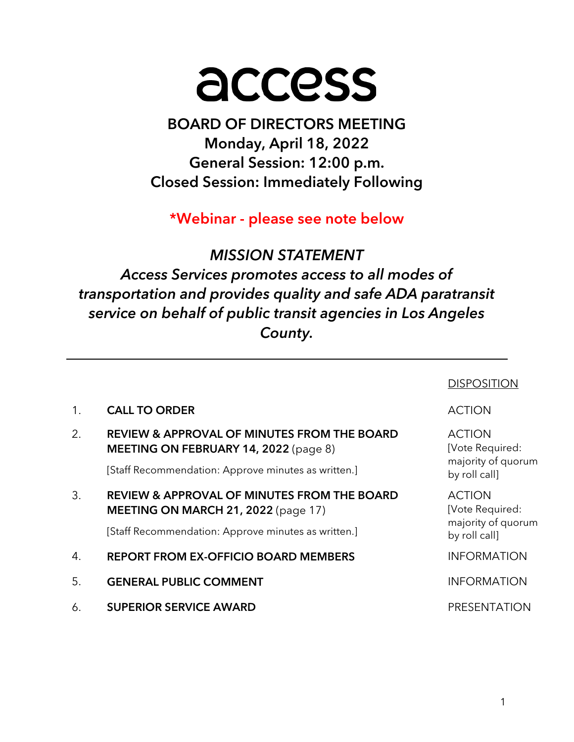# access

BOARD OF DIRECTORS MEETING Monday, April 18, 2022 General Session: 12:00 p.m. Closed Session: Immediately Following

\*Webinar - please see note below

MISSION STATEMENT

Access Services promotes access to all modes of transportation and provides quality and safe ADA paratransit service on behalf of public transit agencies in Los Angeles County.

|    |                                                                                                                                                        | <b>DISPOSITI</b>                                       |
|----|--------------------------------------------------------------------------------------------------------------------------------------------------------|--------------------------------------------------------|
|    | <b>CALL TO ORDER</b>                                                                                                                                   | <b>ACTION</b>                                          |
| 2. | <b>REVIEW &amp; APPROVAL OF MINUTES FROM THE BOARD</b><br>MEETING ON FEBRUARY 14, 2022 (page 8)<br>[Staff Recommendation: Approve minutes as written.] | <b>ACTION</b><br>[Vote Required:<br>majority of quorum |
| 3. | <b>REVIEW &amp; APPROVAL OF MINUTES FROM THE BOARD</b>                                                                                                 | by roll call]<br><b>ACTION</b>                         |
|    | <b>MEETING ON MARCH 21, 2022</b> (page 17)                                                                                                             | [Vote Required:<br>majority of quorum                  |
|    | [Staff Recommendation: Approve minutes as written.]                                                                                                    | by roll call]                                          |
| 4. | <b>REPORT FROM EX-OFFICIO BOARD MEMBERS</b>                                                                                                            | <b>INFORMATION</b>                                     |
| 5. | <b>GENERAL PUBLIC COMMENT</b>                                                                                                                          | <b>INFORMATION</b>                                     |
| 6. | <b>SUPERIOR SERVICE AWARD</b>                                                                                                                          | <b>PRESENTATION</b>                                    |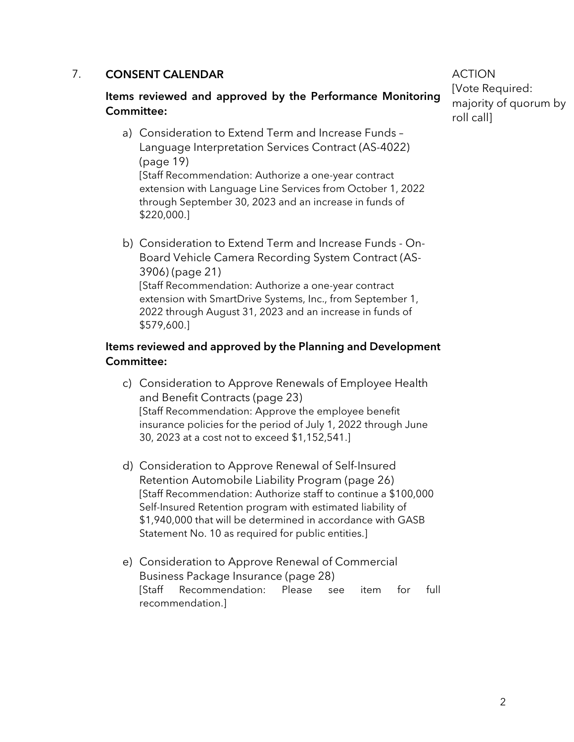#### 7. CONSENT CALENDAR

Items reviewed and approved by the Performance Monitoring Committee:

a) Consideration to Extend Term and Increase Funds – Language Interpretation Services Contract (AS-4022) (page 19) [Staff Recommendation: Authorize a one-year contract extension with Language Line Services from October 1, 2022 through September 30, 2023 and an increase in funds of \$220,000.]

b) Consideration to Extend Term and Increase Funds - On-Board Vehicle Camera Recording System Contract (AS-3906) (page 21) [Staff Recommendation: Authorize a one-year contract extension with SmartDrive Systems, Inc., from September 1, 2022 through August 31, 2023 and an increase in funds of \$579,600.]

#### Items reviewed and approved by the Planning and Development Committee:

- c) Consideration to Approve Renewals of Employee Health and Benefit Contracts (page 23) [Staff Recommendation: Approve the employee benefit insurance policies for the period of July 1, 2022 through June 30, 2023 at a cost not to exceed \$1,152,541.]
- d) Consideration to Approve Renewal of Self-Insured Retention Automobile Liability Program (page 26) [Staff Recommendation: Authorize staff to continue a \$100,000 Self-Insured Retention program with estimated liability of \$1,940,000 that will be determined in accordance with GASB Statement No. 10 as required for public entities.]
- e) Consideration to Approve Renewal of Commercial Business Package Insurance (page 28) [Staff Recommendation: Please see item for full recommendation.]

ACTION [Vote Required: majority of quorum by roll call]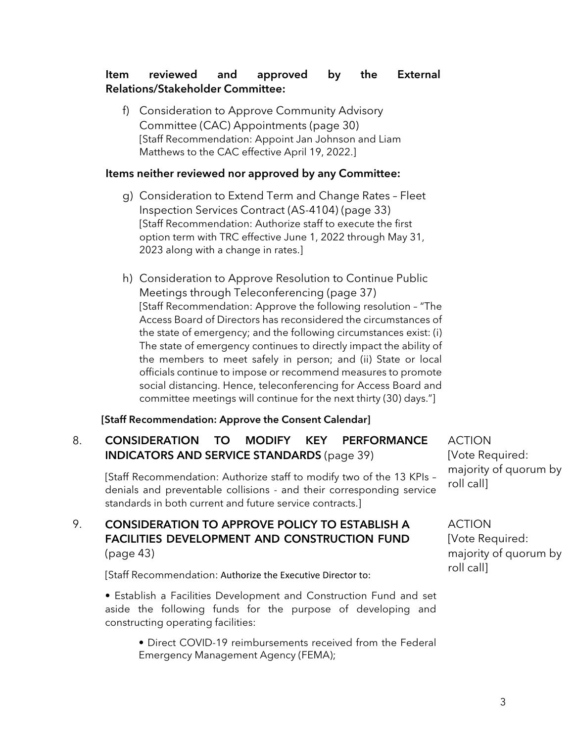#### Item reviewed and approved by the External Relations/Stakeholder Committee:

f) Consideration to Approve Community Advisory Committee (CAC) Appointments (page 30) [Staff Recommendation: Appoint Jan Johnson and Liam Matthews to the CAC effective April 19, 2022.]

#### Items neither reviewed nor approved by any Committee:

- g) Consideration to Extend Term and Change Rates Fleet Inspection Services Contract (AS-4104) (page 33) [Staff Recommendation: Authorize staff to execute the first option term with TRC effective June 1, 2022 through May 31, 2023 along with a change in rates.]
- h) Consideration to Approve Resolution to Continue Public Meetings through Teleconferencing (page 37) [Staff Recommendation: Approve the following resolution – "The Access Board of Directors has reconsidered the circumstances of the state of emergency; and the following circumstances exist: (i) The state of emergency continues to directly impact the ability of the members to meet safely in person; and (ii) State or local officials continue to impose or recommend measures to promote social distancing. Hence, teleconferencing for Access Board and committee meetings will continue for the next thirty (30) days."]

#### [Staff Recommendation: Approve the Consent Calendar]

#### 8. CONSIDERATION TO MODIFY KEY PERFORMANCE INDICATORS AND SERVICE STANDARDS (page 39)

[Staff Recommendation: Authorize staff to modify two of the 13 KPIs – denials and preventable collisions - and their corresponding service standards in both current and future service contracts.]

#### 9. CONSIDERATION TO APPROVE POLICY TO ESTABLISH A FACILITIES DEVELOPMENT AND CONSTRUCTION FUND (page 43)

[Staff Recommendation: Authorize the Executive Director to:

• Establish a Facilities Development and Construction Fund and set aside the following funds for the purpose of developing and constructing operating facilities:

• Direct COVID-19 reimbursements received from the Federal Emergency Management Agency (FEMA);

ACTION [Vote Required: majority of quorum by roll call]

ACTION [Vote Required: majority of quorum by roll call]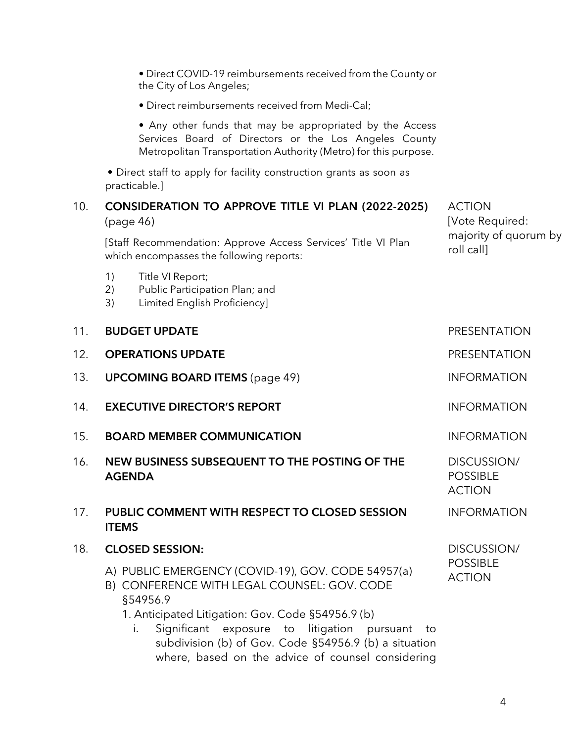|     | • Direct reimbursements received from Medi-Cal;                                                                                                                                                                                                                                                                                                |                                                 |
|-----|------------------------------------------------------------------------------------------------------------------------------------------------------------------------------------------------------------------------------------------------------------------------------------------------------------------------------------------------|-------------------------------------------------|
|     | • Any other funds that may be appropriated by the Access<br>Services Board of Directors or the Los Angeles County<br>Metropolitan Transportation Authority (Metro) for this purpose.                                                                                                                                                           |                                                 |
|     | • Direct staff to apply for facility construction grants as soon as<br>practicable.]                                                                                                                                                                                                                                                           |                                                 |
| 10. | <b>CONSIDERATION TO APPROVE TITLE VI PLAN (2022-2025)</b><br>(page 46)                                                                                                                                                                                                                                                                         | <b>ACTION</b><br>[Vote Required:                |
|     | [Staff Recommendation: Approve Access Services' Title VI Plan<br>which encompasses the following reports:                                                                                                                                                                                                                                      | majority of quorum by<br>roll call]             |
|     | Title VI Report;<br>1)<br>Public Participation Plan; and<br>2)<br>Limited English Proficiency]<br>3)                                                                                                                                                                                                                                           |                                                 |
| 11. | <b>BUDGET UPDATE</b>                                                                                                                                                                                                                                                                                                                           | <b>PRESENTATION</b>                             |
| 12. | <b>OPERATIONS UPDATE</b>                                                                                                                                                                                                                                                                                                                       | <b>PRESENTATION</b>                             |
| 13. | <b>UPCOMING BOARD ITEMS (page 49)</b>                                                                                                                                                                                                                                                                                                          | <b>INFORMATION</b>                              |
| 14. | <b>EXECUTIVE DIRECTOR'S REPORT</b>                                                                                                                                                                                                                                                                                                             | <b>INFORMATION</b>                              |
| 15. | <b>BOARD MEMBER COMMUNICATION</b>                                                                                                                                                                                                                                                                                                              | <b>INFORMATION</b>                              |
| 16. | NEW BUSINESS SUBSEQUENT TO THE POSTING OF THE<br><b>AGENDA</b>                                                                                                                                                                                                                                                                                 | DISCUSSION/<br><b>POSSIBLE</b><br><b>ACTION</b> |
| 17. | PUBLIC COMMENT WITH RESPECT TO CLOSED SESSION<br><b>ITEMS</b>                                                                                                                                                                                                                                                                                  | <b>INFORMATION</b>                              |
| 18. | <b>CLOSED SESSION:</b>                                                                                                                                                                                                                                                                                                                         | DISCUSSION/                                     |
|     | A) PUBLIC EMERGENCY (COVID-19), GOV. CODE 54957(a)<br>B) CONFERENCE WITH LEGAL COUNSEL: GOV. CODE<br>§54956.9<br>1. Anticipated Litigation: Gov. Code §54956.9 (b)<br>Significant exposure to litigation<br>i.<br>pursuant<br>to<br>subdivision (b) of Gov. Code §54956.9 (b) a situation<br>where, based on the advice of counsel considering | <b>POSSIBLE</b><br><b>ACTION</b>                |
|     |                                                                                                                                                                                                                                                                                                                                                |                                                 |

• Direct COVID-19 reimbursements received from the County or

the City of Los Angeles;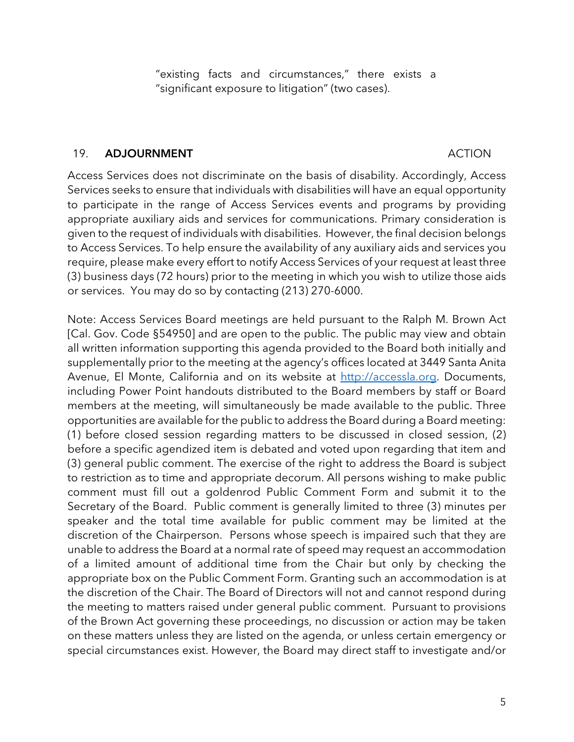"existing facts and circumstances," there exists a "significant exposure to litigation" (two cases).

#### 19. ADJOURNMENT ACTION

Access Services does not discriminate on the basis of disability. Accordingly, Access Services seeks to ensure that individuals with disabilities will have an equal opportunity to participate in the range of Access Services events and programs by providing appropriate auxiliary aids and services for communications. Primary consideration is given to the request of individuals with disabilities. However, the final decision belongs to Access Services. To help ensure the availability of any auxiliary aids and services you require, please make every effort to notify Access Services of your request at least three (3) business days (72 hours) prior to the meeting in which you wish to utilize those aids or services. You may do so by contacting (213) 270-6000.

Note: Access Services Board meetings are held pursuant to the Ralph M. Brown Act [Cal. Gov. Code §54950] and are open to the public. The public may view and obtain all written information supporting this agenda provided to the Board both initially and supplementally prior to the meeting at the agency's offices located at 3449 Santa Anita Avenue, El Monte, California and on its website at http://accessla.org. Documents, including Power Point handouts distributed to the Board members by staff or Board members at the meeting, will simultaneously be made available to the public. Three opportunities are available for the public to address the Board during a Board meeting: (1) before closed session regarding matters to be discussed in closed session, (2) before a specific agendized item is debated and voted upon regarding that item and (3) general public comment. The exercise of the right to address the Board is subject to restriction as to time and appropriate decorum. All persons wishing to make public comment must fill out a goldenrod Public Comment Form and submit it to the Secretary of the Board. Public comment is generally limited to three (3) minutes per speaker and the total time available for public comment may be limited at the discretion of the Chairperson. Persons whose speech is impaired such that they are unable to address the Board at a normal rate of speed may request an accommodation of a limited amount of additional time from the Chair but only by checking the appropriate box on the Public Comment Form. Granting such an accommodation is at the discretion of the Chair. The Board of Directors will not and cannot respond during the meeting to matters raised under general public comment. Pursuant to provisions of the Brown Act governing these proceedings, no discussion or action may be taken on these matters unless they are listed on the agenda, or unless certain emergency or special circumstances exist. However, the Board may direct staff to investigate and/or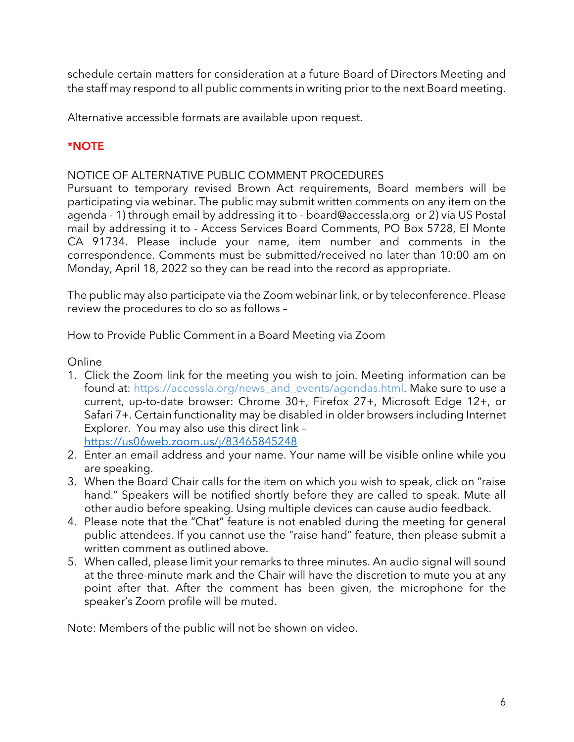schedule certain matters for consideration at a future Board of Directors Meeting and the staff may respond to all public comments in writing prior to the next Board meeting.

Alternative accessible formats are available upon request.

## \*NOTE

#### NOTICE OF ALTERNATIVE PUBLIC COMMENT PROCEDURES

Pursuant to temporary revised Brown Act requirements, Board members will be participating via webinar. The public may submit written comments on any item on the agenda - 1) through email by addressing it to - board@accessla.org or 2) via US Postal mail by addressing it to - Access Services Board Comments, PO Box 5728, El Monte CA 91734. Please include your name, item number and comments in the correspondence. Comments must be submitted/received no later than 10:00 am on Monday, April 18, 2022 so they can be read into the record as appropriate.

The public may also participate via the Zoom webinar link, or by teleconference. Please review the procedures to do so as follows –

How to Provide Public Comment in a Board Meeting via Zoom

Online

- 1. Click the Zoom link for the meeting you wish to join. Meeting information can be found at: https://accessla.org/news\_and\_events/agendas.html. Make sure to use a current, up-to-date browser: Chrome 30+, Firefox 27+, Microsoft Edge 12+, or Safari 7+. Certain functionality may be disabled in older browsers including Internet Explorer. You may also use this direct link – https://us06web.zoom.us/j/83465845248
- 2. Enter an email address and your name. Your name will be visible online while you are speaking.
- 3. When the Board Chair calls for the item on which you wish to speak, click on "raise hand." Speakers will be notified shortly before they are called to speak. Mute all other audio before speaking. Using multiple devices can cause audio feedback.
- 4. Please note that the "Chat" feature is not enabled during the meeting for general public attendees. If you cannot use the "raise hand" feature, then please submit a written comment as outlined above.
- 5. When called, please limit your remarks to three minutes. An audio signal will sound at the three-minute mark and the Chair will have the discretion to mute you at any point after that. After the comment has been given, the microphone for the speaker's Zoom profile will be muted.

Note: Members of the public will not be shown on video.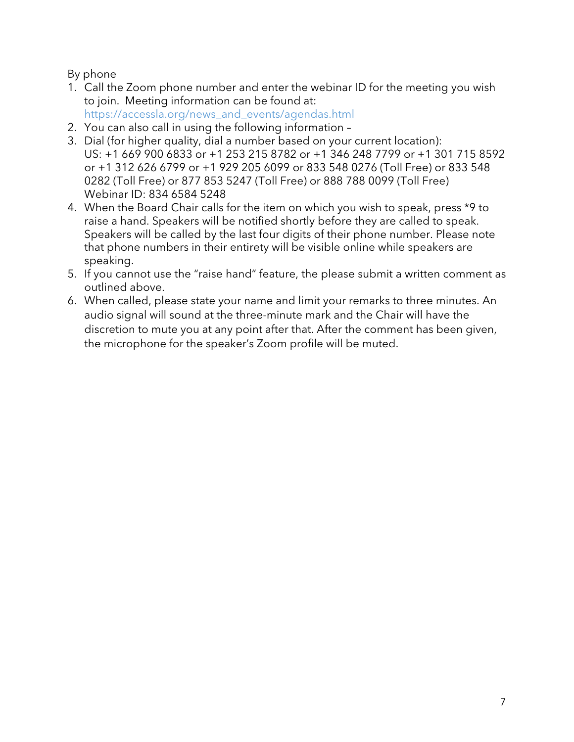By phone

- 1. Call the Zoom phone number and enter the webinar ID for the meeting you wish to join. Meeting information can be found at: https://accessla.org/news\_and\_events/agendas.html
- 2. You can also call in using the following information –
- 3. Dial (for higher quality, dial a number based on your current location): US: +1 669 900 6833 or +1 253 215 8782 or +1 346 248 7799 or +1 301 715 8592 or +1 312 626 6799 or +1 929 205 6099 or 833 548 0276 (Toll Free) or 833 548 0282 (Toll Free) or 877 853 5247 (Toll Free) or 888 788 0099 (Toll Free) Webinar ID: 834 6584 5248
- 4. When the Board Chair calls for the item on which you wish to speak, press \*9 to raise a hand. Speakers will be notified shortly before they are called to speak. Speakers will be called by the last four digits of their phone number. Please note that phone numbers in their entirety will be visible online while speakers are speaking.
- 5. If you cannot use the "raise hand" feature, the please submit a written comment as outlined above.
- 6. When called, please state your name and limit your remarks to three minutes. An audio signal will sound at the three-minute mark and the Chair will have the discretion to mute you at any point after that. After the comment has been given, the microphone for the speaker's Zoom profile will be muted.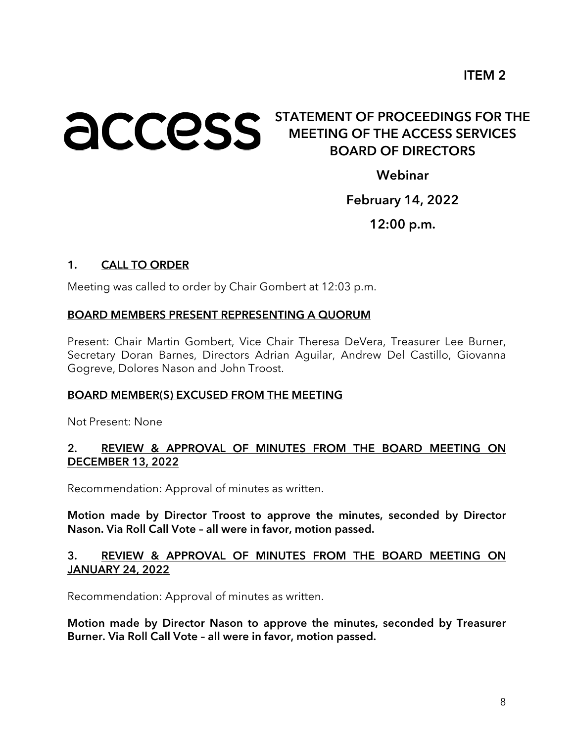# **ACCESS** STATEMENT OF PROCEEDINGS FOR THE MEETING OF THE ACCESS SERVICES BOARD OF DIRECTORS

Webinar

# February 14, 2022

12:00 p.m.

#### 1. CALL TO ORDER

Meeting was called to order by Chair Gombert at 12:03 p.m.

#### BOARD MEMBERS PRESENT REPRESENTING A QUORUM

Present: Chair Martin Gombert, Vice Chair Theresa DeVera, Treasurer Lee Burner, Secretary Doran Barnes, Directors Adrian Aguilar, Andrew Del Castillo, Giovanna Gogreve, Dolores Nason and John Troost.

#### BOARD MEMBER(S) EXCUSED FROM THE MEETING

Not Present: None

#### 2. REVIEW & APPROVAL OF MINUTES FROM THE BOARD MEETING ON DECEMBER 13, 2022

Recommendation: Approval of minutes as written.

Motion made by Director Troost to approve the minutes, seconded by Director Nason. Via Roll Call Vote – all were in favor, motion passed.

#### 3. REVIEW & APPROVAL OF MINUTES FROM THE BOARD MEETING ON JANUARY 24, 2022

Recommendation: Approval of minutes as written.

Motion made by Director Nason to approve the minutes, seconded by Treasurer Burner. Via Roll Call Vote – all were in favor, motion passed.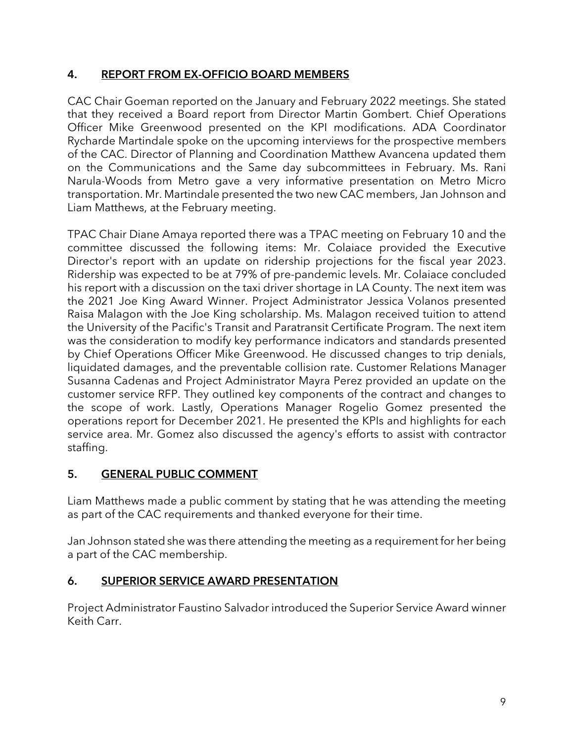#### 4. REPORT FROM EX-OFFICIO BOARD MEMBERS

CAC Chair Goeman reported on the January and February 2022 meetings. She stated that they received a Board report from Director Martin Gombert. Chief Operations Officer Mike Greenwood presented on the KPI modifications. ADA Coordinator Rycharde Martindale spoke on the upcoming interviews for the prospective members of the CAC. Director of Planning and Coordination Matthew Avancena updated them on the Communications and the Same day subcommittees in February. Ms. Rani Narula-Woods from Metro gave a very informative presentation on Metro Micro transportation. Mr. Martindale presented the two new CAC members, Jan Johnson and Liam Matthews, at the February meeting.

TPAC Chair Diane Amaya reported there was a TPAC meeting on February 10 and the committee discussed the following items: Mr. Colaiace provided the Executive Director's report with an update on ridership projections for the fiscal year 2023. Ridership was expected to be at 79% of pre-pandemic levels. Mr. Colaiace concluded his report with a discussion on the taxi driver shortage in LA County. The next item was the 2021 Joe King Award Winner. Project Administrator Jessica Volanos presented Raisa Malagon with the Joe King scholarship. Ms. Malagon received tuition to attend the University of the Pacific's Transit and Paratransit Certificate Program. The next item was the consideration to modify key performance indicators and standards presented by Chief Operations Officer Mike Greenwood. He discussed changes to trip denials, liquidated damages, and the preventable collision rate. Customer Relations Manager Susanna Cadenas and Project Administrator Mayra Perez provided an update on the customer service RFP. They outlined key components of the contract and changes to the scope of work. Lastly, Operations Manager Rogelio Gomez presented the operations report for December 2021. He presented the KPIs and highlights for each service area. Mr. Gomez also discussed the agency's efforts to assist with contractor staffing.

# 5. GENERAL PUBLIC COMMENT

Liam Matthews made a public comment by stating that he was attending the meeting as part of the CAC requirements and thanked everyone for their time.

Jan Johnson stated she was there attending the meeting as a requirement for her being a part of the CAC membership.

# 6. SUPERIOR SERVICE AWARD PRESENTATION

Project Administrator Faustino Salvador introduced the Superior Service Award winner Keith Carr.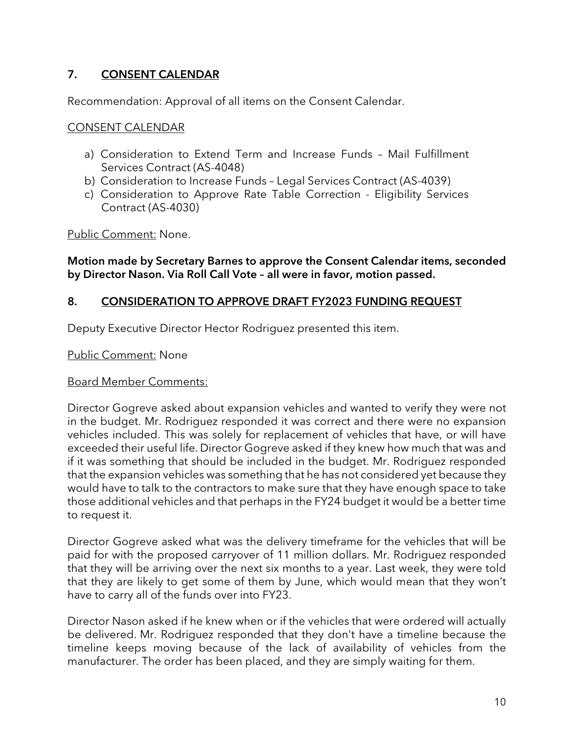#### 7. CONSENT CALENDAR

Recommendation: Approval of all items on the Consent Calendar.

#### CONSENT CALENDAR

- a) Consideration to Extend Term and Increase Funds Mail Fulfillment Services Contract (AS-4048)
- b) Consideration to Increase Funds Legal Services Contract (AS-4039)
- c) Consideration to Approve Rate Table Correction Eligibility Services Contract (AS-4030)

Public Comment: None.

Motion made by Secretary Barnes to approve the Consent Calendar items, seconded by Director Nason. Via Roll Call Vote – all were in favor, motion passed.

#### 8. CONSIDERATION TO APPROVE DRAFT FY2023 FUNDING REQUEST

Deputy Executive Director Hector Rodriguez presented this item.

#### Public Comment: None

#### Board Member Comments:

Director Gogreve asked about expansion vehicles and wanted to verify they were not in the budget. Mr. Rodriguez responded it was correct and there were no expansion vehicles included. This was solely for replacement of vehicles that have, or will have exceeded their useful life. Director Gogreve asked if they knew how much that was and if it was something that should be included in the budget. Mr. Rodriguez responded that the expansion vehicles was something that he has not considered yet because they would have to talk to the contractors to make sure that they have enough space to take those additional vehicles and that perhaps in the FY24 budget it would be a better time to request it.

Director Gogreve asked what was the delivery timeframe for the vehicles that will be paid for with the proposed carryover of 11 million dollars. Mr. Rodriguez responded that they will be arriving over the next six months to a year. Last week, they were told that they are likely to get some of them by June, which would mean that they won't have to carry all of the funds over into FY23.

Director Nason asked if he knew when or if the vehicles that were ordered will actually be delivered. Mr. Rodriguez responded that they don't have a timeline because the timeline keeps moving because of the lack of availability of vehicles from the manufacturer. The order has been placed, and they are simply waiting for them.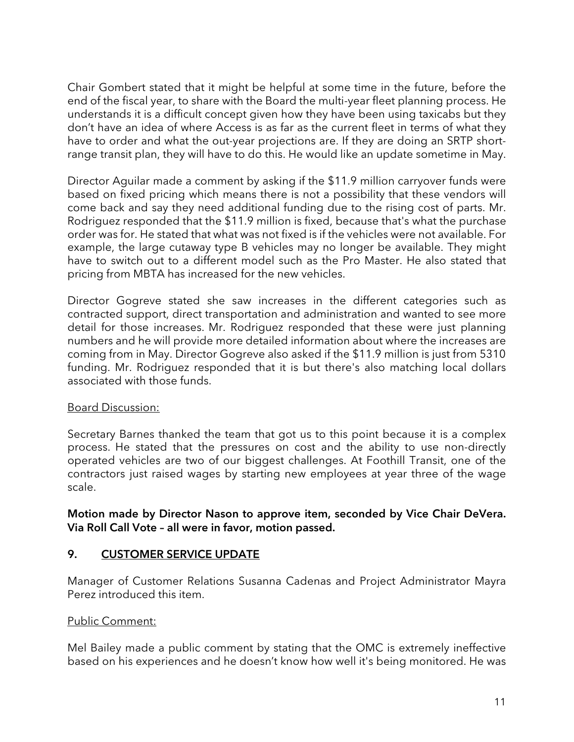Chair Gombert stated that it might be helpful at some time in the future, before the end of the fiscal year, to share with the Board the multi-year fleet planning process. He understands it is a difficult concept given how they have been using taxicabs but they don't have an idea of where Access is as far as the current fleet in terms of what they have to order and what the out-year projections are. If they are doing an SRTP shortrange transit plan, they will have to do this. He would like an update sometime in May.

Director Aguilar made a comment by asking if the \$11.9 million carryover funds were based on fixed pricing which means there is not a possibility that these vendors will come back and say they need additional funding due to the rising cost of parts. Mr. Rodriguez responded that the \$11.9 million is fixed, because that's what the purchase order was for. He stated that what was not fixed is if the vehicles were not available. For example, the large cutaway type B vehicles may no longer be available. They might have to switch out to a different model such as the Pro Master. He also stated that pricing from MBTA has increased for the new vehicles.

Director Gogreve stated she saw increases in the different categories such as contracted support, direct transportation and administration and wanted to see more detail for those increases. Mr. Rodriguez responded that these were just planning numbers and he will provide more detailed information about where the increases are coming from in May. Director Gogreve also asked if the \$11.9 million is just from 5310 funding. Mr. Rodriguez responded that it is but there's also matching local dollars associated with those funds.

#### Board Discussion:

Secretary Barnes thanked the team that got us to this point because it is a complex process. He stated that the pressures on cost and the ability to use non-directly operated vehicles are two of our biggest challenges. At Foothill Transit, one of the contractors just raised wages by starting new employees at year three of the wage scale.

#### Motion made by Director Nason to approve item, seconded by Vice Chair DeVera. Via Roll Call Vote – all were in favor, motion passed.

#### 9. CUSTOMER SERVICE UPDATE

Manager of Customer Relations Susanna Cadenas and Project Administrator Mayra Perez introduced this item.

#### Public Comment:

Mel Bailey made a public comment by stating that the OMC is extremely ineffective based on his experiences and he doesn't know how well it's being monitored. He was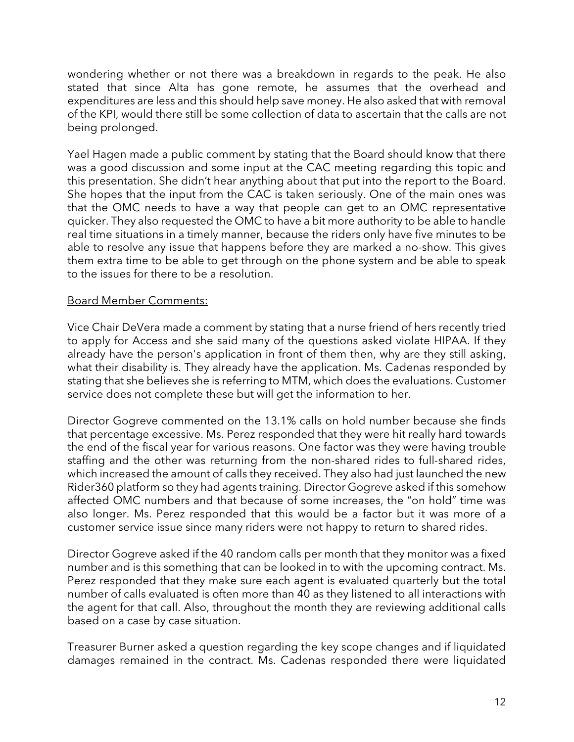wondering whether or not there was a breakdown in regards to the peak. He also stated that since Alta has gone remote, he assumes that the overhead and expenditures are less and this should help save money. He also asked that with removal of the KPI, would there still be some collection of data to ascertain that the calls are not being prolonged.

Yael Hagen made a public comment by stating that the Board should know that there was a good discussion and some input at the CAC meeting regarding this topic and this presentation. She didn't hear anything about that put into the report to the Board. She hopes that the input from the CAC is taken seriously. One of the main ones was that the OMC needs to have a way that people can get to an OMC representative quicker. They also requested the OMC to have a bit more authority to be able to handle real time situations in a timely manner, because the riders only have five minutes to be able to resolve any issue that happens before they are marked a no-show. This gives them extra time to be able to get through on the phone system and be able to speak to the issues for there to be a resolution.

#### Board Member Comments:

Vice Chair DeVera made a comment by stating that a nurse friend of hers recently tried to apply for Access and she said many of the questions asked violate HIPAA. If they already have the person's application in front of them then, why are they still asking, what their disability is. They already have the application. Ms. Cadenas responded by stating that she believes she is referring to MTM, which does the evaluations. Customer service does not complete these but will get the information to her.

Director Gogreve commented on the 13.1% calls on hold number because she finds that percentage excessive. Ms. Perez responded that they were hit really hard towards the end of the fiscal year for various reasons. One factor was they were having trouble staffing and the other was returning from the non-shared rides to full-shared rides, which increased the amount of calls they received. They also had just launched the new Rider360 platform so they had agents training. Director Gogreve asked if this somehow affected OMC numbers and that because of some increases, the "on hold" time was also longer. Ms. Perez responded that this would be a factor but it was more of a customer service issue since many riders were not happy to return to shared rides.

Director Gogreve asked if the 40 random calls per month that they monitor was a fixed number and is this something that can be looked in to with the upcoming contract. Ms. Perez responded that they make sure each agent is evaluated quarterly but the total number of calls evaluated is often more than 40 as they listened to all interactions with the agent for that call. Also, throughout the month they are reviewing additional calls based on a case by case situation.

Treasurer Burner asked a question regarding the key scope changes and if liquidated damages remained in the contract. Ms. Cadenas responded there were liquidated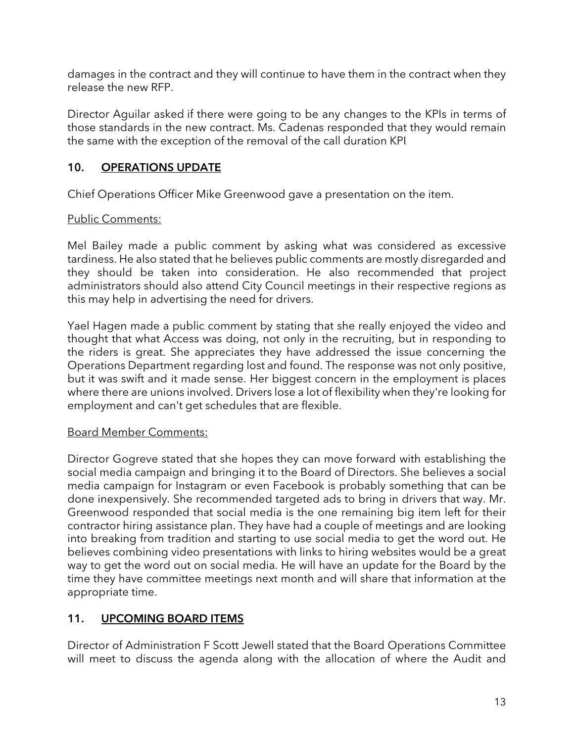damages in the contract and they will continue to have them in the contract when they release the new RFP.

Director Aguilar asked if there were going to be any changes to the KPIs in terms of those standards in the new contract. Ms. Cadenas responded that they would remain the same with the exception of the removal of the call duration KPI

#### 10. OPERATIONS UPDATE

Chief Operations Officer Mike Greenwood gave a presentation on the item.

#### Public Comments:

Mel Bailey made a public comment by asking what was considered as excessive tardiness. He also stated that he believes public comments are mostly disregarded and they should be taken into consideration. He also recommended that project administrators should also attend City Council meetings in their respective regions as this may help in advertising the need for drivers.

Yael Hagen made a public comment by stating that she really enjoyed the video and thought that what Access was doing, not only in the recruiting, but in responding to the riders is great. She appreciates they have addressed the issue concerning the Operations Department regarding lost and found. The response was not only positive, but it was swift and it made sense. Her biggest concern in the employment is places where there are unions involved. Drivers lose a lot of flexibility when they're looking for employment and can't get schedules that are flexible.

#### Board Member Comments:

Director Gogreve stated that she hopes they can move forward with establishing the social media campaign and bringing it to the Board of Directors. She believes a social media campaign for Instagram or even Facebook is probably something that can be done inexpensively. She recommended targeted ads to bring in drivers that way. Mr. Greenwood responded that social media is the one remaining big item left for their contractor hiring assistance plan. They have had a couple of meetings and are looking into breaking from tradition and starting to use social media to get the word out. He believes combining video presentations with links to hiring websites would be a great way to get the word out on social media. He will have an update for the Board by the time they have committee meetings next month and will share that information at the appropriate time.

#### 11. UPCOMING BOARD ITEMS

Director of Administration F Scott Jewell stated that the Board Operations Committee will meet to discuss the agenda along with the allocation of where the Audit and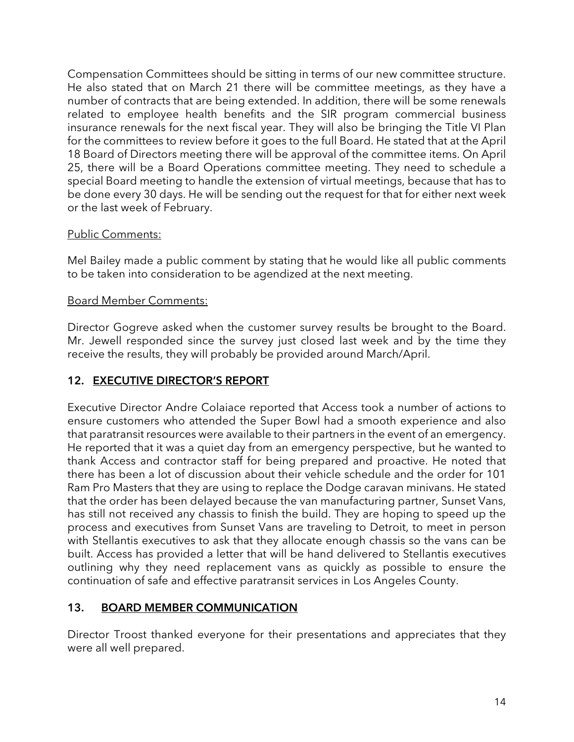Compensation Committees should be sitting in terms of our new committee structure. He also stated that on March 21 there will be committee meetings, as they have a number of contracts that are being extended. In addition, there will be some renewals related to employee health benefits and the SIR program commercial business insurance renewals for the next fiscal year. They will also be bringing the Title VI Plan for the committees to review before it goes to the full Board. He stated that at the April 18 Board of Directors meeting there will be approval of the committee items. On April 25, there will be a Board Operations committee meeting. They need to schedule a special Board meeting to handle the extension of virtual meetings, because that has to be done every 30 days. He will be sending out the request for that for either next week or the last week of February.

#### Public Comments:

Mel Bailey made a public comment by stating that he would like all public comments to be taken into consideration to be agendized at the next meeting.

#### Board Member Comments:

Director Gogreve asked when the customer survey results be brought to the Board. Mr. Jewell responded since the survey just closed last week and by the time they receive the results, they will probably be provided around March/April.

#### 12. EXECUTIVE DIRECTOR'S REPORT

Executive Director Andre Colaiace reported that Access took a number of actions to ensure customers who attended the Super Bowl had a smooth experience and also that paratransit resources were available to their partners in the event of an emergency. He reported that it was a quiet day from an emergency perspective, but he wanted to thank Access and contractor staff for being prepared and proactive. He noted that there has been a lot of discussion about their vehicle schedule and the order for 101 Ram Pro Masters that they are using to replace the Dodge caravan minivans. He stated that the order has been delayed because the van manufacturing partner, Sunset Vans, has still not received any chassis to finish the build. They are hoping to speed up the process and executives from Sunset Vans are traveling to Detroit, to meet in person with Stellantis executives to ask that they allocate enough chassis so the vans can be built. Access has provided a letter that will be hand delivered to Stellantis executives outlining why they need replacement vans as quickly as possible to ensure the continuation of safe and effective paratransit services in Los Angeles County.

#### 13. BOARD MEMBER COMMUNICATION

Director Troost thanked everyone for their presentations and appreciates that they were all well prepared.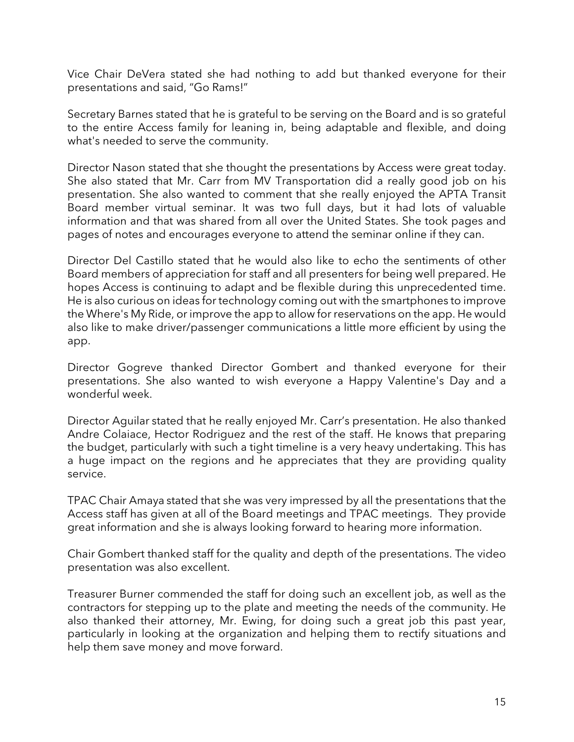Vice Chair DeVera stated she had nothing to add but thanked everyone for their presentations and said, "Go Rams!"

Secretary Barnes stated that he is grateful to be serving on the Board and is so grateful to the entire Access family for leaning in, being adaptable and flexible, and doing what's needed to serve the community.

Director Nason stated that she thought the presentations by Access were great today. She also stated that Mr. Carr from MV Transportation did a really good job on his presentation. She also wanted to comment that she really enjoyed the APTA Transit Board member virtual seminar. It was two full days, but it had lots of valuable information and that was shared from all over the United States. She took pages and pages of notes and encourages everyone to attend the seminar online if they can.

Director Del Castillo stated that he would also like to echo the sentiments of other Board members of appreciation for staff and all presenters for being well prepared. He hopes Access is continuing to adapt and be flexible during this unprecedented time. He is also curious on ideas for technology coming out with the smartphones to improve the Where's My Ride, or improve the app to allow for reservations on the app. He would also like to make driver/passenger communications a little more efficient by using the app.

Director Gogreve thanked Director Gombert and thanked everyone for their presentations. She also wanted to wish everyone a Happy Valentine's Day and a wonderful week.

Director Aguilar stated that he really enjoyed Mr. Carr's presentation. He also thanked Andre Colaiace, Hector Rodriguez and the rest of the staff. He knows that preparing the budget, particularly with such a tight timeline is a very heavy undertaking. This has a huge impact on the regions and he appreciates that they are providing quality service.

TPAC Chair Amaya stated that she was very impressed by all the presentations that the Access staff has given at all of the Board meetings and TPAC meetings. They provide great information and she is always looking forward to hearing more information.

Chair Gombert thanked staff for the quality and depth of the presentations. The video presentation was also excellent.

Treasurer Burner commended the staff for doing such an excellent job, as well as the contractors for stepping up to the plate and meeting the needs of the community. He also thanked their attorney, Mr. Ewing, for doing such a great job this past year, particularly in looking at the organization and helping them to rectify situations and help them save money and move forward.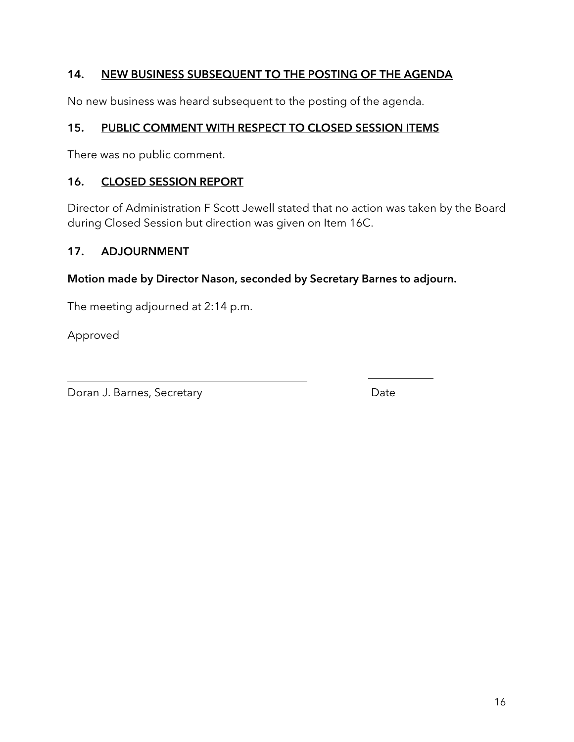#### 14. NEW BUSINESS SUBSEQUENT TO THE POSTING OF THE AGENDA

No new business was heard subsequent to the posting of the agenda.

#### 15. PUBLIC COMMENT WITH RESPECT TO CLOSED SESSION ITEMS

There was no public comment.

#### 16. CLOSED SESSION REPORT

Director of Administration F Scott Jewell stated that no action was taken by the Board during Closed Session but direction was given on Item 16C.

#### 17. ADJOURNMENT

#### Motion made by Director Nason, seconded by Secretary Barnes to adjourn.

The meeting adjourned at 2:14 p.m.

Approved

Doran J. Barnes, Secretary **Date**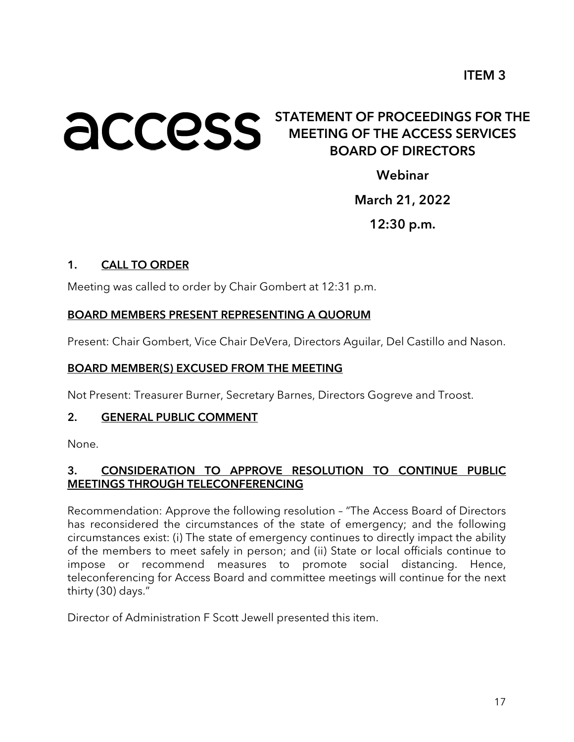# **ACCESS** STATEMENT OF PROCEEDINGS FOR THE MEETING OF THE ACCESS SERVICES BOARD OF DIRECTORS

Webinar

# March 21, 2022

12:30 p.m.

#### 1. CALL TO ORDER

Meeting was called to order by Chair Gombert at 12:31 p.m.

#### BOARD MEMBERS PRESENT REPRESENTING A QUORUM

Present: Chair Gombert, Vice Chair DeVera, Directors Aguilar, Del Castillo and Nason.

#### BOARD MEMBER(S) EXCUSED FROM THE MEETING

Not Present: Treasurer Burner, Secretary Barnes, Directors Gogreve and Troost.

#### 2. GENERAL PUBLIC COMMENT

None.

## 3. CONSIDERATION TO APPROVE RESOLUTION TO CONTINUE PUBLIC MEETINGS THROUGH TELECONFERENCING

Recommendation: Approve the following resolution – "The Access Board of Directors has reconsidered the circumstances of the state of emergency; and the following circumstances exist: (i) The state of emergency continues to directly impact the ability of the members to meet safely in person; and (ii) State or local officials continue to impose or recommend measures to promote social distancing. Hence, teleconferencing for Access Board and committee meetings will continue for the next thirty (30) days."

Director of Administration F Scott Jewell presented this item.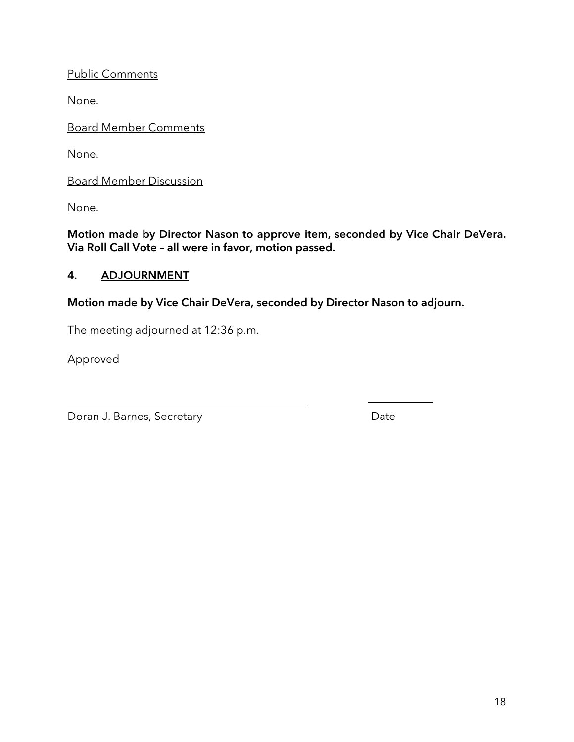Public Comments

None.

Board Member Comments

None.

Board Member Discussion

None.

Motion made by Director Nason to approve item, seconded by Vice Chair DeVera. Via Roll Call Vote – all were in favor, motion passed.

#### 4. ADJOURNMENT

#### Motion made by Vice Chair DeVera, seconded by Director Nason to adjourn.

The meeting adjourned at 12:36 p.m.

Approved

Doran J. Barnes, Secretary **Date**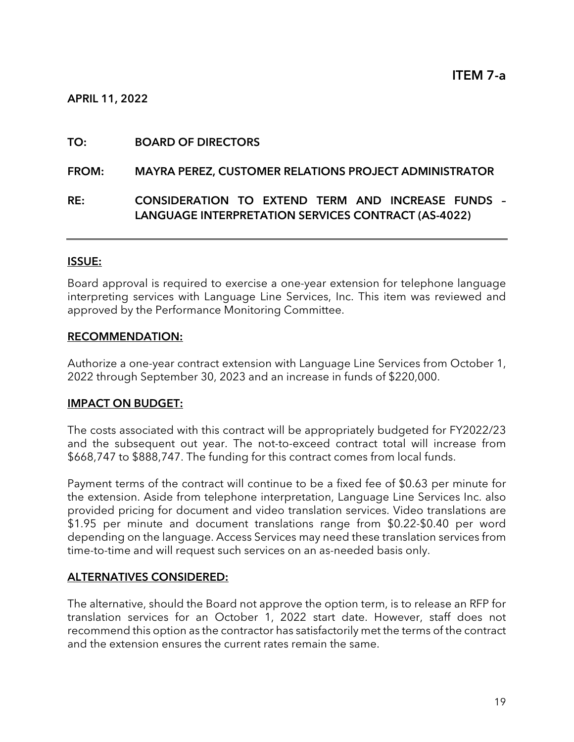#### TO: BOARD OF DIRECTORS

#### FROM: MAYRA PEREZ, CUSTOMER RELATIONS PROJECT ADMINISTRATOR

#### RE: CONSIDERATION TO EXTEND TERM AND INCREASE FUNDS – LANGUAGE INTERPRETATION SERVICES CONTRACT (AS-4022)

#### ISSUE:

Board approval is required to exercise a one-year extension for telephone language interpreting services with Language Line Services, Inc. This item was reviewed and approved by the Performance Monitoring Committee.

#### RECOMMENDATION:

Authorize a one-year contract extension with Language Line Services from October 1, 2022 through September 30, 2023 and an increase in funds of \$220,000.

#### IMPACT ON BUDGET:

The costs associated with this contract will be appropriately budgeted for FY2022/23 and the subsequent out year. The not-to-exceed contract total will increase from \$668,747 to \$888,747. The funding for this contract comes from local funds.

Payment terms of the contract will continue to be a fixed fee of \$0.63 per minute for the extension. Aside from telephone interpretation, Language Line Services Inc. also provided pricing for document and video translation services. Video translations are \$1.95 per minute and document translations range from \$0.22-\$0.40 per word depending on the language. Access Services may need these translation services from time-to-time and will request such services on an as-needed basis only.

#### ALTERNATIVES CONSIDERED:

The alternative, should the Board not approve the option term, is to release an RFP for translation services for an October 1, 2022 start date. However, staff does not recommend this option as the contractor has satisfactorily met the terms of the contract and the extension ensures the current rates remain the same.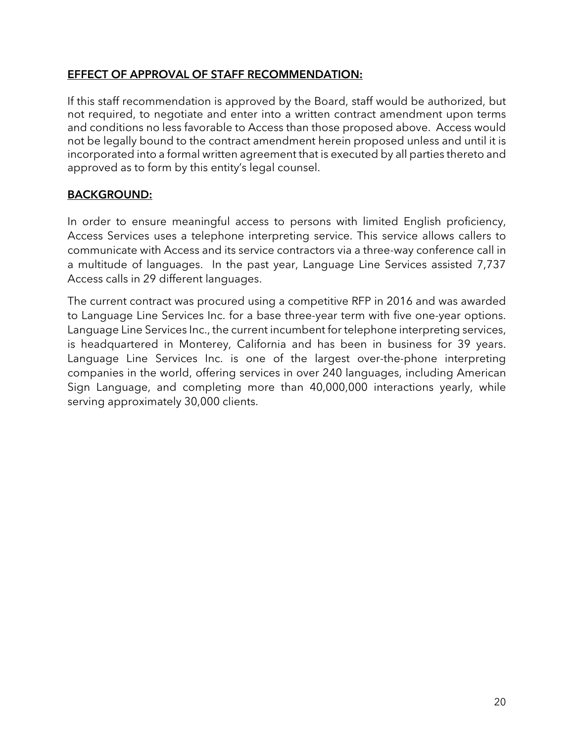#### EFFECT OF APPROVAL OF STAFF RECOMMENDATION:

If this staff recommendation is approved by the Board, staff would be authorized, but not required, to negotiate and enter into a written contract amendment upon terms and conditions no less favorable to Access than those proposed above. Access would not be legally bound to the contract amendment herein proposed unless and until it is incorporated into a formal written agreement that is executed by all parties thereto and approved as to form by this entity's legal counsel.

#### BACKGROUND:

In order to ensure meaningful access to persons with limited English proficiency, Access Services uses a telephone interpreting service. This service allows callers to communicate with Access and its service contractors via a three-way conference call in a multitude of languages. In the past year, Language Line Services assisted 7,737 Access calls in 29 different languages.

The current contract was procured using a competitive RFP in 2016 and was awarded to Language Line Services Inc. for a base three-year term with five one-year options. Language Line Services Inc., the current incumbent for telephone interpreting services, is headquartered in Monterey, California and has been in business for 39 years. Language Line Services Inc. is one of the largest over-the-phone interpreting companies in the world, offering services in over 240 languages, including American Sign Language, and completing more than 40,000,000 interactions yearly, while serving approximately 30,000 clients.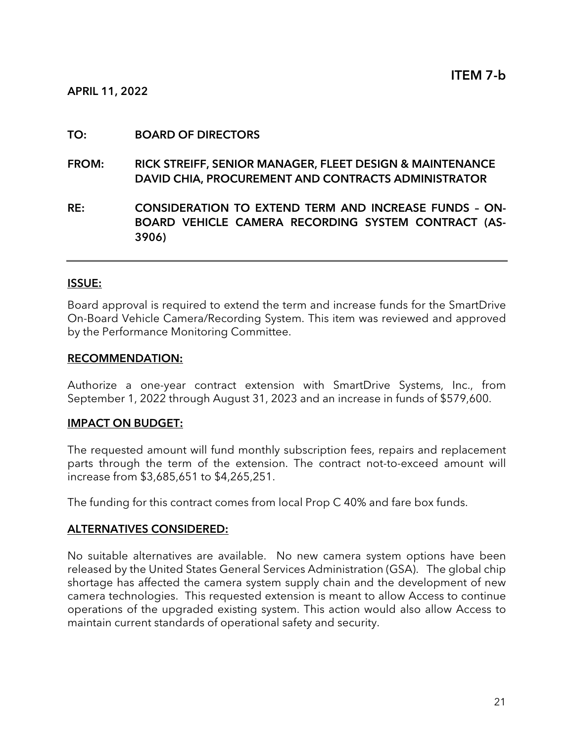#### TO: BOARD OF DIRECTORS

FROM: RICK STREIFF, SENIOR MANAGER, FLEET DESIGN & MAINTENANCE DAVID CHIA, PROCUREMENT AND CONTRACTS ADMINISTRATOR

RE: CONSIDERATION TO EXTEND TERM AND INCREASE FUNDS – ON-BOARD VEHICLE CAMERA RECORDING SYSTEM CONTRACT (AS-3906)

#### ISSUE:

Board approval is required to extend the term and increase funds for the SmartDrive On-Board Vehicle Camera/Recording System. This item was reviewed and approved by the Performance Monitoring Committee.

#### RECOMMENDATION:

Authorize a one-year contract extension with SmartDrive Systems, Inc., from September 1, 2022 through August 31, 2023 and an increase in funds of \$579,600.

#### IMPACT ON BUDGET:

The requested amount will fund monthly subscription fees, repairs and replacement parts through the term of the extension. The contract not-to-exceed amount will increase from \$3,685,651 to \$4,265,251.

The funding for this contract comes from local Prop C 40% and fare box funds.

#### ALTERNATIVES CONSIDERED:

No suitable alternatives are available. No new camera system options have been released by the United States General Services Administration (GSA). The global chip shortage has affected the camera system supply chain and the development of new camera technologies. This requested extension is meant to allow Access to continue operations of the upgraded existing system. This action would also allow Access to maintain current standards of operational safety and security.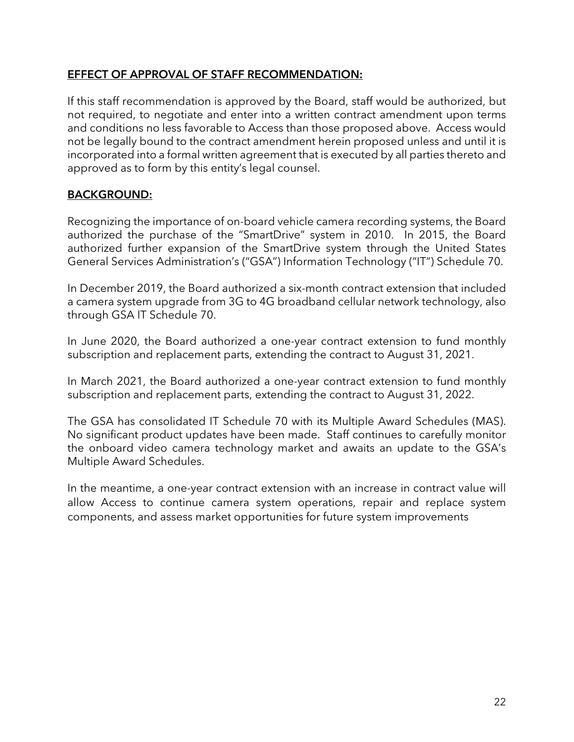#### EFFECT OF APPROVAL OF STAFF RECOMMENDATION:

If this staff recommendation is approved by the Board, staff would be authorized, but not required, to negotiate and enter into a written contract amendment upon terms and conditions no less favorable to Access than those proposed above. Access would not be legally bound to the contract amendment herein proposed unless and until it is incorporated into a formal written agreement that is executed by all parties thereto and approved as to form by this entity's legal counsel.

#### BACKGROUND:

Recognizing the importance of on-board vehicle camera recording systems, the Board authorized the purchase of the "SmartDrive" system in 2010. In 2015, the Board authorized further expansion of the SmartDrive system through the United States General Services Administration's ("GSA") Information Technology ("IT") Schedule 70.

In December 2019, the Board authorized a six-month contract extension that included a camera system upgrade from 3G to 4G broadband cellular network technology, also through GSA IT Schedule 70.

In June 2020, the Board authorized a one-year contract extension to fund monthly subscription and replacement parts, extending the contract to August 31, 2021.

In March 2021, the Board authorized a one-year contract extension to fund monthly subscription and replacement parts, extending the contract to August 31, 2022.

The GSA has consolidated IT Schedule 70 with its Multiple Award Schedules (MAS). No significant product updates have been made. Staff continues to carefully monitor the onboard video camera technology market and awaits an update to the GSA's Multiple Award Schedules.

In the meantime, a one-year contract extension with an increase in contract value will allow Access to continue camera system operations, repair and replace system components, and assess market opportunities for future system improvements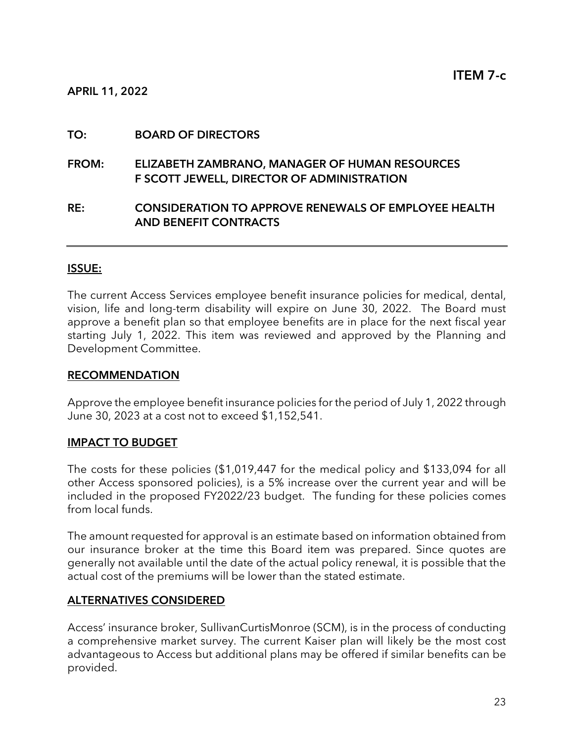#### TO: BOARD OF DIRECTORS

FROM: ELIZABETH ZAMBRANO, MANAGER OF HUMAN RESOURCES F SCOTT JEWELL, DIRECTOR OF ADMINISTRATION

#### RE: CONSIDERATION TO APPROVE RENEWALS OF EMPLOYEE HEALTH AND BENEFIT CONTRACTS

#### ISSUE:

The current Access Services employee benefit insurance policies for medical, dental, vision, life and long-term disability will expire on June 30, 2022. The Board must approve a benefit plan so that employee benefits are in place for the next fiscal year starting July 1, 2022. This item was reviewed and approved by the Planning and Development Committee.

#### RECOMMENDATION

Approve the employee benefit insurance policies for the period of July 1, 2022 through June 30, 2023 at a cost not to exceed \$1,152,541.

#### IMPACT TO BUDGET

The costs for these policies (\$1,019,447 for the medical policy and \$133,094 for all other Access sponsored policies), is a 5% increase over the current year and will be included in the proposed FY2022/23 budget. The funding for these policies comes from local funds.

The amount requested for approval is an estimate based on information obtained from our insurance broker at the time this Board item was prepared. Since quotes are generally not available until the date of the actual policy renewal, it is possible that the actual cost of the premiums will be lower than the stated estimate.

#### ALTERNATIVES CONSIDERED

Access' insurance broker, SullivanCurtisMonroe (SCM), is in the process of conducting a comprehensive market survey. The current Kaiser plan will likely be the most cost advantageous to Access but additional plans may be offered if similar benefits can be provided.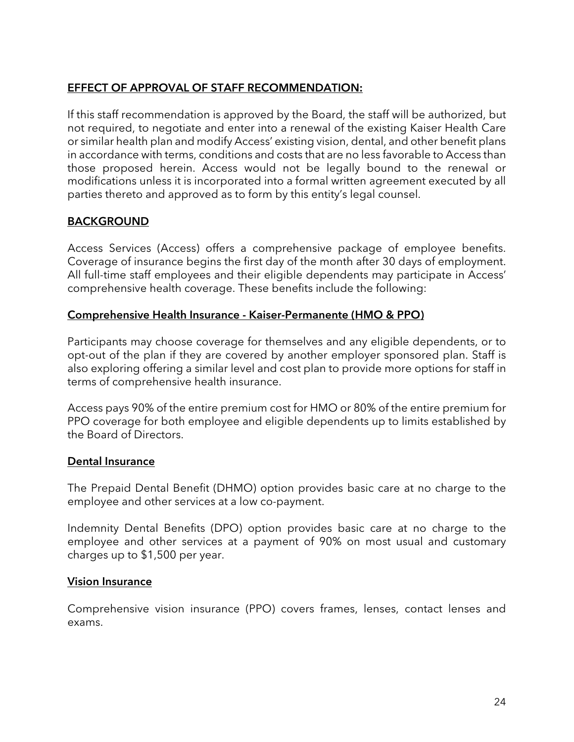## EFFECT OF APPROVAL OF STAFF RECOMMENDATION:

If this staff recommendation is approved by the Board, the staff will be authorized, but not required, to negotiate and enter into a renewal of the existing Kaiser Health Care or similar health plan and modify Access' existing vision, dental, and other benefit plans in accordance with terms, conditions and costs that are no less favorable to Access than those proposed herein. Access would not be legally bound to the renewal or modifications unless it is incorporated into a formal written agreement executed by all parties thereto and approved as to form by this entity's legal counsel.

#### **BACKGROUND**

Access Services (Access) offers a comprehensive package of employee benefits. Coverage of insurance begins the first day of the month after 30 days of employment. All full-time staff employees and their eligible dependents may participate in Access' comprehensive health coverage. These benefits include the following:

#### Comprehensive Health Insurance - Kaiser-Permanente (HMO & PPO)

Participants may choose coverage for themselves and any eligible dependents, or to opt-out of the plan if they are covered by another employer sponsored plan. Staff is also exploring offering a similar level and cost plan to provide more options for staff in terms of comprehensive health insurance.

Access pays 90% of the entire premium cost for HMO or 80% of the entire premium for PPO coverage for both employee and eligible dependents up to limits established by the Board of Directors.

#### Dental Insurance

The Prepaid Dental Benefit (DHMO) option provides basic care at no charge to the employee and other services at a low co-payment.

Indemnity Dental Benefits (DPO) option provides basic care at no charge to the employee and other services at a payment of 90% on most usual and customary charges up to \$1,500 per year.

#### Vision Insurance

Comprehensive vision insurance (PPO) covers frames, lenses, contact lenses and exams.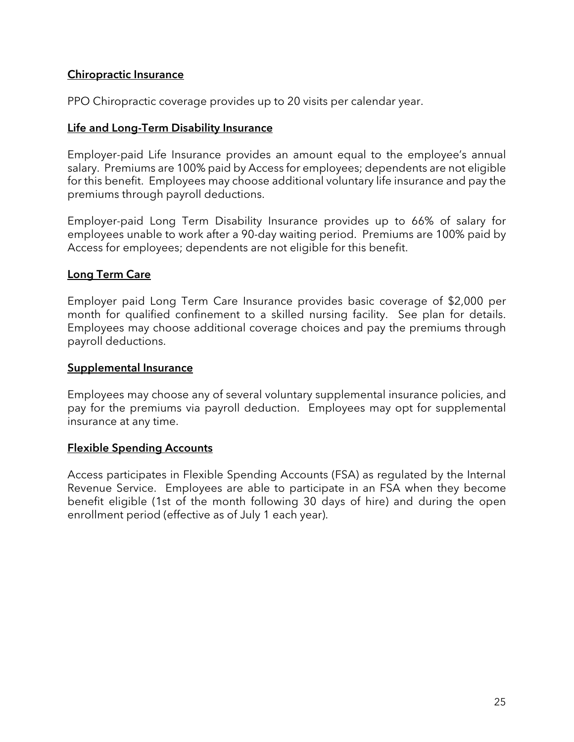#### Chiropractic Insurance

PPO Chiropractic coverage provides up to 20 visits per calendar year.

#### Life and Long-Term Disability Insurance

Employer-paid Life Insurance provides an amount equal to the employee's annual salary. Premiums are 100% paid by Access for employees; dependents are not eligible for this benefit. Employees may choose additional voluntary life insurance and pay the premiums through payroll deductions.

Employer-paid Long Term Disability Insurance provides up to 66% of salary for employees unable to work after a 90-day waiting period. Premiums are 100% paid by Access for employees; dependents are not eligible for this benefit.

#### Long Term Care

Employer paid Long Term Care Insurance provides basic coverage of \$2,000 per month for qualified confinement to a skilled nursing facility. See plan for details. Employees may choose additional coverage choices and pay the premiums through payroll deductions.

#### Supplemental Insurance

Employees may choose any of several voluntary supplemental insurance policies, and pay for the premiums via payroll deduction. Employees may opt for supplemental insurance at any time.

#### Flexible Spending Accounts

Access participates in Flexible Spending Accounts (FSA) as regulated by the Internal Revenue Service. Employees are able to participate in an FSA when they become benefit eligible (1st of the month following 30 days of hire) and during the open enrollment period (effective as of July 1 each year).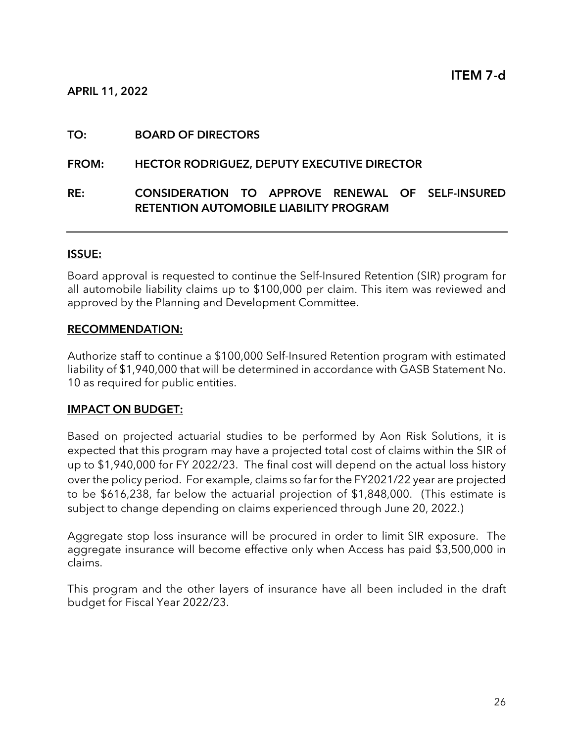#### TO: BOARD OF DIRECTORS

#### FROM: HECTOR RODRIGUEZ, DEPUTY EXECUTIVE DIRECTOR

#### RE: CONSIDERATION TO APPROVE RENEWAL OF SELF-INSURED RETENTION AUTOMOBILE LIABILITY PROGRAM

#### ISSUE:

Board approval is requested to continue the Self-Insured Retention (SIR) program for all automobile liability claims up to \$100,000 per claim. This item was reviewed and approved by the Planning and Development Committee.

#### RECOMMENDATION:

Authorize staff to continue a \$100,000 Self-Insured Retention program with estimated liability of \$1,940,000 that will be determined in accordance with GASB Statement No. 10 as required for public entities.

#### IMPACT ON BUDGET:

Based on projected actuarial studies to be performed by Aon Risk Solutions, it is expected that this program may have a projected total cost of claims within the SIR of up to \$1,940,000 for FY 2022/23. The final cost will depend on the actual loss history over the policy period. For example, claims so far for the FY2021/22 year are projected to be \$616,238, far below the actuarial projection of \$1,848,000. (This estimate is subject to change depending on claims experienced through June 20, 2022.)

Aggregate stop loss insurance will be procured in order to limit SIR exposure. The aggregate insurance will become effective only when Access has paid \$3,500,000 in claims.

This program and the other layers of insurance have all been included in the draft budget for Fiscal Year 2022/23.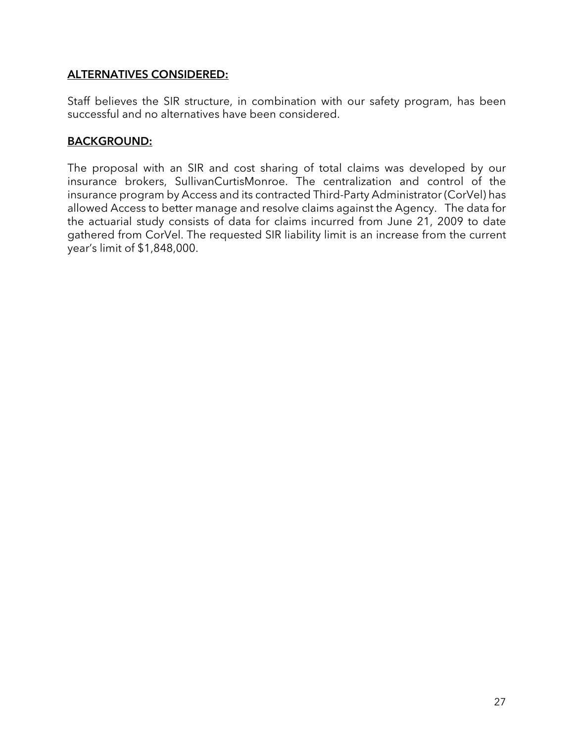#### ALTERNATIVES CONSIDERED:

Staff believes the SIR structure, in combination with our safety program, has been successful and no alternatives have been considered.

#### BACKGROUND:

The proposal with an SIR and cost sharing of total claims was developed by our insurance brokers, SullivanCurtisMonroe. The centralization and control of the insurance program by Access and its contracted Third-Party Administrator (CorVel) has allowed Access to better manage and resolve claims against the Agency. The data for the actuarial study consists of data for claims incurred from June 21, 2009 to date gathered from CorVel. The requested SIR liability limit is an increase from the current year's limit of \$1,848,000.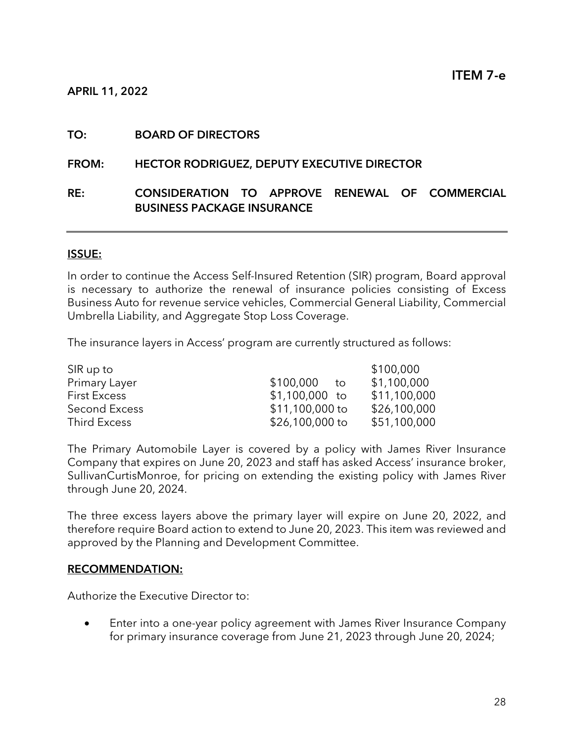#### TO: BOARD OF DIRECTORS

#### FROM: HECTOR RODRIGUEZ, DEPUTY EXECUTIVE DIRECTOR

#### RE: CONSIDERATION TO APPROVE RENEWAL OF COMMERCIAL BUSINESS PACKAGE INSURANCE

#### ISSUE:

In order to continue the Access Self-Insured Retention (SIR) program, Board approval is necessary to authorize the renewal of insurance policies consisting of Excess Business Auto for revenue service vehicles, Commercial General Liability, Commercial Umbrella Liability, and Aggregate Stop Loss Coverage.

The insurance layers in Access' program are currently structured as follows:

|                 | \$100,000    |
|-----------------|--------------|
| \$100,000<br>to | \$1,100,000  |
| $$1,100,000$ to | \$11,100,000 |
| \$11,100,000 to | \$26,100,000 |
| \$26,100,000 to | \$51,100,000 |
|                 |              |

The Primary Automobile Layer is covered by a policy with James River Insurance Company that expires on June 20, 2023 and staff has asked Access' insurance broker, SullivanCurtisMonroe, for pricing on extending the existing policy with James River through June 20, 2024.

The three excess layers above the primary layer will expire on June 20, 2022, and therefore require Board action to extend to June 20, 2023. This item was reviewed and approved by the Planning and Development Committee.

#### RECOMMENDATION:

Authorize the Executive Director to:

• Enter into a one-year policy agreement with James River Insurance Company for primary insurance coverage from June 21, 2023 through June 20, 2024;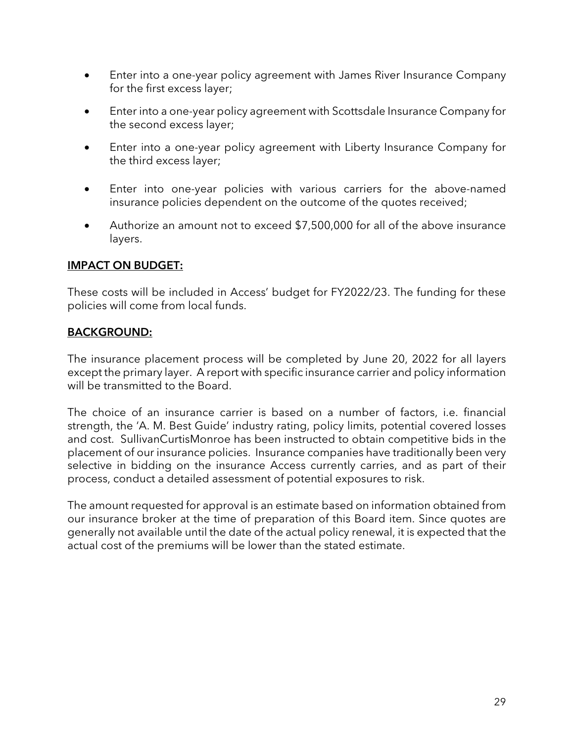- Enter into a one-year policy agreement with James River Insurance Company for the first excess layer;
- Enter into a one-year policy agreement with Scottsdale Insurance Company for the second excess layer;
- Enter into a one-year policy agreement with Liberty Insurance Company for the third excess layer;
- Enter into one-year policies with various carriers for the above-named insurance policies dependent on the outcome of the quotes received;
- Authorize an amount not to exceed \$7,500,000 for all of the above insurance layers.

#### IMPACT ON BUDGET:

These costs will be included in Access' budget for FY2022/23. The funding for these policies will come from local funds.

#### BACKGROUND:

The insurance placement process will be completed by June 20, 2022 for all layers except the primary layer. A report with specific insurance carrier and policy information will be transmitted to the Board.

The choice of an insurance carrier is based on a number of factors, i.e. financial strength, the 'A. M. Best Guide' industry rating, policy limits, potential covered losses and cost. SullivanCurtisMonroe has been instructed to obtain competitive bids in the placement of our insurance policies. Insurance companies have traditionally been very selective in bidding on the insurance Access currently carries, and as part of their process, conduct a detailed assessment of potential exposures to risk.

The amount requested for approval is an estimate based on information obtained from our insurance broker at the time of preparation of this Board item. Since quotes are generally not available until the date of the actual policy renewal, it is expected that the actual cost of the premiums will be lower than the stated estimate.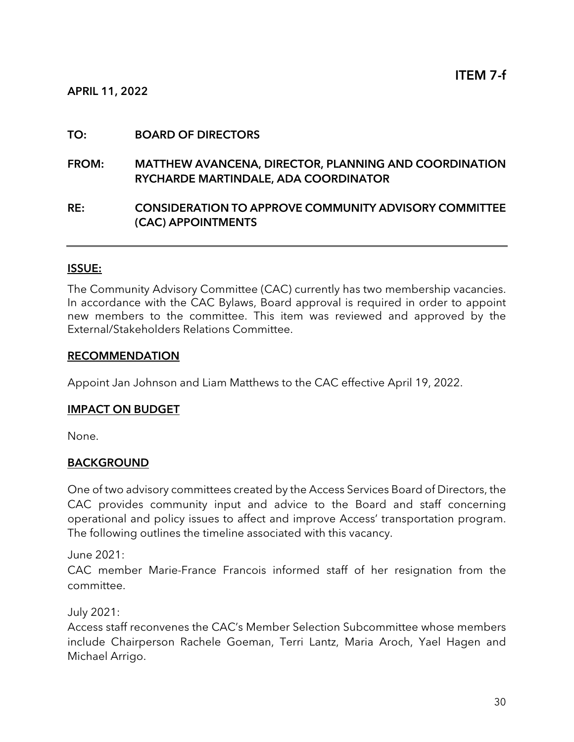#### TO: BOARD OF DIRECTORS

FROM: MATTHEW AVANCENA, DIRECTOR, PLANNING AND COORDINATION RYCHARDE MARTINDALE, ADA COORDINATOR

RE: CONSIDERATION TO APPROVE COMMUNITY ADVISORY COMMITTEE (CAC) APPOINTMENTS

#### ISSUE:

The Community Advisory Committee (CAC) currently has two membership vacancies. In accordance with the CAC Bylaws, Board approval is required in order to appoint new members to the committee. This item was reviewed and approved by the External/Stakeholders Relations Committee.

#### RECOMMENDATION

Appoint Jan Johnson and Liam Matthews to the CAC effective April 19, 2022.

#### IMPACT ON BUDGET

None.

#### **BACKGROUND**

One of two advisory committees created by the Access Services Board of Directors, the CAC provides community input and advice to the Board and staff concerning operational and policy issues to affect and improve Access' transportation program. The following outlines the timeline associated with this vacancy.

June 2021:

CAC member Marie-France Francois informed staff of her resignation from the committee.

July 2021:

Access staff reconvenes the CAC's Member Selection Subcommittee whose members include Chairperson Rachele Goeman, Terri Lantz, Maria Aroch, Yael Hagen and Michael Arrigo.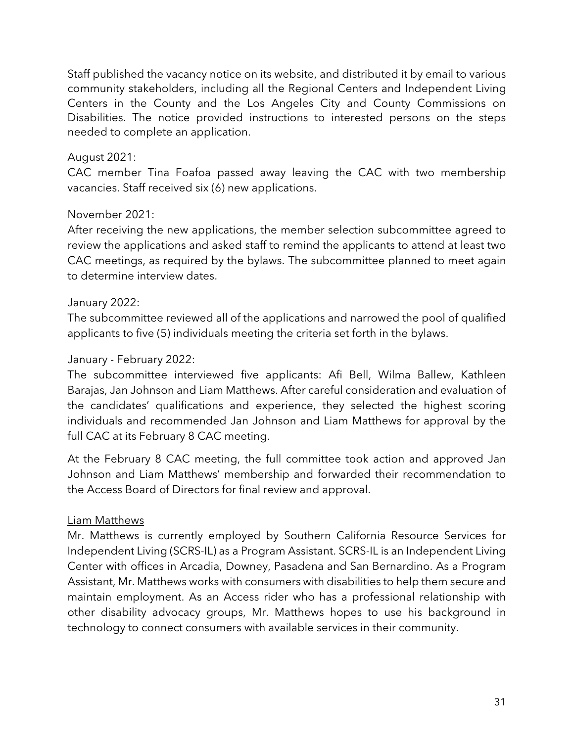Staff published the vacancy notice on its website, and distributed it by email to various community stakeholders, including all the Regional Centers and Independent Living Centers in the County and the Los Angeles City and County Commissions on Disabilities. The notice provided instructions to interested persons on the steps needed to complete an application.

#### August 2021:

CAC member Tina Foafoa passed away leaving the CAC with two membership vacancies. Staff received six (6) new applications.

#### November 2021:

After receiving the new applications, the member selection subcommittee agreed to review the applications and asked staff to remind the applicants to attend at least two CAC meetings, as required by the bylaws. The subcommittee planned to meet again to determine interview dates.

#### January 2022:

The subcommittee reviewed all of the applications and narrowed the pool of qualified applicants to five (5) individuals meeting the criteria set forth in the bylaws.

#### January - February 2022:

The subcommittee interviewed five applicants: Afi Bell, Wilma Ballew, Kathleen Barajas, Jan Johnson and Liam Matthews. After careful consideration and evaluation of the candidates' qualifications and experience, they selected the highest scoring individuals and recommended Jan Johnson and Liam Matthews for approval by the full CAC at its February 8 CAC meeting.

At the February 8 CAC meeting, the full committee took action and approved Jan Johnson and Liam Matthews' membership and forwarded their recommendation to the Access Board of Directors for final review and approval.

#### Liam Matthews

Mr. Matthews is currently employed by Southern California Resource Services for Independent Living (SCRS-IL) as a Program Assistant. SCRS-IL is an Independent Living Center with offices in Arcadia, Downey, Pasadena and San Bernardino. As a Program Assistant, Mr. Matthews works with consumers with disabilities to help them secure and maintain employment. As an Access rider who has a professional relationship with other disability advocacy groups, Mr. Matthews hopes to use his background in technology to connect consumers with available services in their community.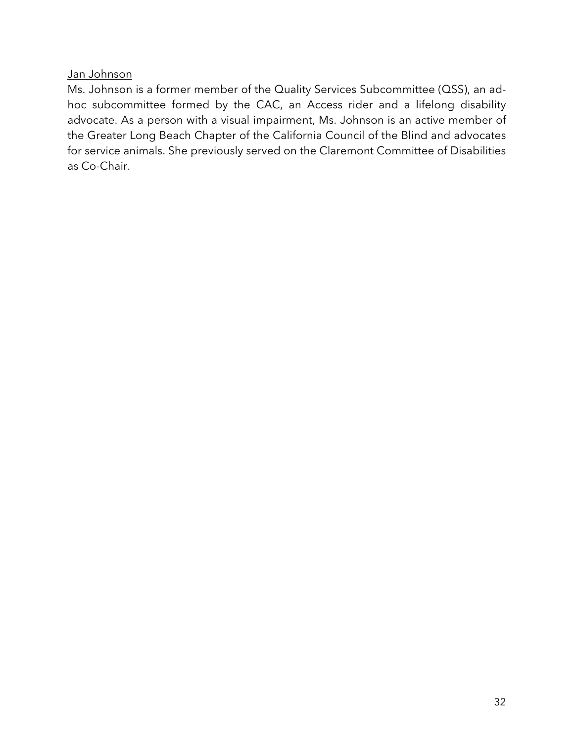#### Jan Johnson

Ms. Johnson is a former member of the Quality Services Subcommittee (QSS), an adhoc subcommittee formed by the CAC, an Access rider and a lifelong disability advocate. As a person with a visual impairment, Ms. Johnson is an active member of the Greater Long Beach Chapter of the California Council of the Blind and advocates for service animals. She previously served on the Claremont Committee of Disabilities as Co-Chair.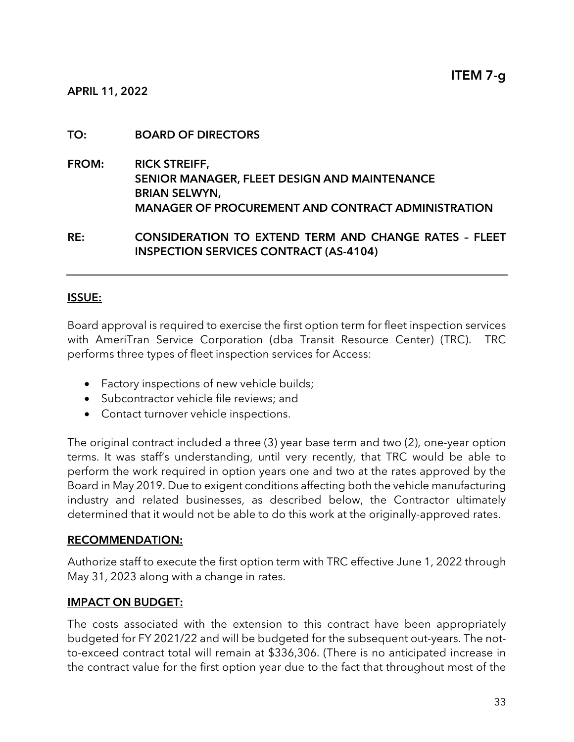#### TO: BOARD OF DIRECTORS

FROM: RICK STREIFF, SENIOR MANAGER, FLEET DESIGN AND MAINTENANCE BRIAN SELWYN, MANAGER OF PROCUREMENT AND CONTRACT ADMINISTRATION

RE: CONSIDERATION TO EXTEND TERM AND CHANGE RATES – FLEET INSPECTION SERVICES CONTRACT (AS-4104)

#### ISSUE:

Board approval is required to exercise the first option term for fleet inspection services with AmeriTran Service Corporation (dba Transit Resource Center) (TRC). TRC performs three types of fleet inspection services for Access:

- Factory inspections of new vehicle builds;
- Subcontractor vehicle file reviews; and
- Contact turnover vehicle inspections.

The original contract included a three (3) year base term and two (2), one-year option terms. It was staff's understanding, until very recently, that TRC would be able to perform the work required in option years one and two at the rates approved by the Board in May 2019. Due to exigent conditions affecting both the vehicle manufacturing industry and related businesses, as described below, the Contractor ultimately determined that it would not be able to do this work at the originally-approved rates.

#### RECOMMENDATION:

Authorize staff to execute the first option term with TRC effective June 1, 2022 through May 31, 2023 along with a change in rates.

#### IMPACT ON BUDGET:

The costs associated with the extension to this contract have been appropriately budgeted for FY 2021/22 and will be budgeted for the subsequent out-years. The notto-exceed contract total will remain at \$336,306. (There is no anticipated increase in the contract value for the first option year due to the fact that throughout most of the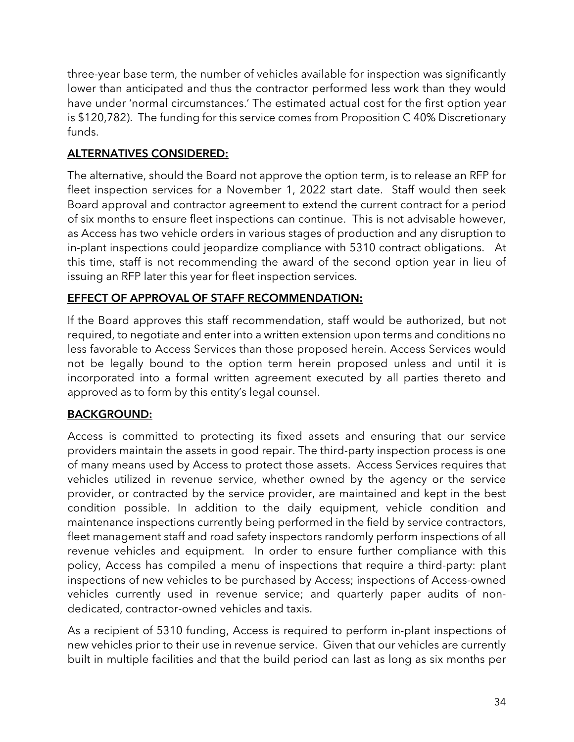three-year base term, the number of vehicles available for inspection was significantly lower than anticipated and thus the contractor performed less work than they would have under 'normal circumstances.' The estimated actual cost for the first option year is \$120,782). The funding for this service comes from Proposition C 40% Discretionary funds.

## ALTERNATIVES CONSIDERED:

The alternative, should the Board not approve the option term, is to release an RFP for fleet inspection services for a November 1, 2022 start date. Staff would then seek Board approval and contractor agreement to extend the current contract for a period of six months to ensure fleet inspections can continue. This is not advisable however, as Access has two vehicle orders in various stages of production and any disruption to in-plant inspections could jeopardize compliance with 5310 contract obligations. At this time, staff is not recommending the award of the second option year in lieu of issuing an RFP later this year for fleet inspection services.

#### EFFECT OF APPROVAL OF STAFF RECOMMENDATION:

If the Board approves this staff recommendation, staff would be authorized, but not required, to negotiate and enter into a written extension upon terms and conditions no less favorable to Access Services than those proposed herein. Access Services would not be legally bound to the option term herein proposed unless and until it is incorporated into a formal written agreement executed by all parties thereto and approved as to form by this entity's legal counsel.

#### BACKGROUND:

Access is committed to protecting its fixed assets and ensuring that our service providers maintain the assets in good repair. The third-party inspection process is one of many means used by Access to protect those assets. Access Services requires that vehicles utilized in revenue service, whether owned by the agency or the service provider, or contracted by the service provider, are maintained and kept in the best condition possible. In addition to the daily equipment, vehicle condition and maintenance inspections currently being performed in the field by service contractors, fleet management staff and road safety inspectors randomly perform inspections of all revenue vehicles and equipment. In order to ensure further compliance with this policy, Access has compiled a menu of inspections that require a third-party: plant inspections of new vehicles to be purchased by Access; inspections of Access-owned vehicles currently used in revenue service; and quarterly paper audits of nondedicated, contractor-owned vehicles and taxis.

As a recipient of 5310 funding, Access is required to perform in-plant inspections of new vehicles prior to their use in revenue service. Given that our vehicles are currently built in multiple facilities and that the build period can last as long as six months per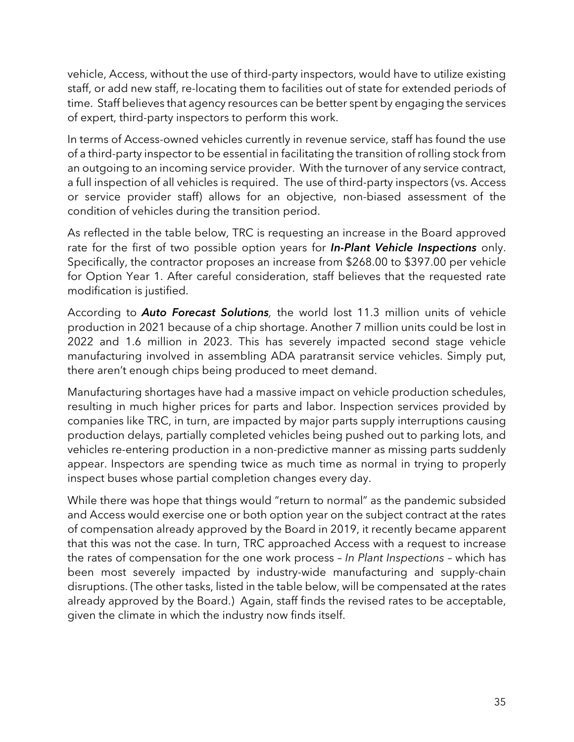vehicle, Access, without the use of third-party inspectors, would have to utilize existing staff, or add new staff, re-locating them to facilities out of state for extended periods of time. Staff believes that agency resources can be better spent by engaging the services of expert, third-party inspectors to perform this work.

In terms of Access-owned vehicles currently in revenue service, staff has found the use of a third-party inspector to be essential in facilitating the transition of rolling stock from an outgoing to an incoming service provider. With the turnover of any service contract, a full inspection of all vehicles is required. The use of third-party inspectors (vs. Access or service provider staff) allows for an objective, non-biased assessment of the condition of vehicles during the transition period.

As reflected in the table below, TRC is requesting an increase in the Board approved rate for the first of two possible option years for **In-Plant Vehicle Inspections** only. Specifically, the contractor proposes an increase from \$268.00 to \$397.00 per vehicle for Option Year 1. After careful consideration, staff believes that the requested rate modification is justified.

According to **Auto Forecast Solutions**, the world lost 11.3 million units of vehicle production in 2021 because of a chip shortage. Another 7 million units could be lost in 2022 and 1.6 million in 2023. This has severely impacted second stage vehicle manufacturing involved in assembling ADA paratransit service vehicles. Simply put, there aren't enough chips being produced to meet demand.

Manufacturing shortages have had a massive impact on vehicle production schedules, resulting in much higher prices for parts and labor. Inspection services provided by companies like TRC, in turn, are impacted by major parts supply interruptions causing production delays, partially completed vehicles being pushed out to parking lots, and vehicles re-entering production in a non-predictive manner as missing parts suddenly appear. Inspectors are spending twice as much time as normal in trying to properly inspect buses whose partial completion changes every day.

While there was hope that things would "return to normal" as the pandemic subsided and Access would exercise one or both option year on the subject contract at the rates of compensation already approved by the Board in 2019, it recently became apparent that this was not the case. In turn, TRC approached Access with a request to increase the rates of compensation for the one work process – In Plant Inspections – which has been most severely impacted by industry-wide manufacturing and supply-chain disruptions. (The other tasks, listed in the table below, will be compensated at the rates already approved by the Board.) Again, staff finds the revised rates to be acceptable, given the climate in which the industry now finds itself.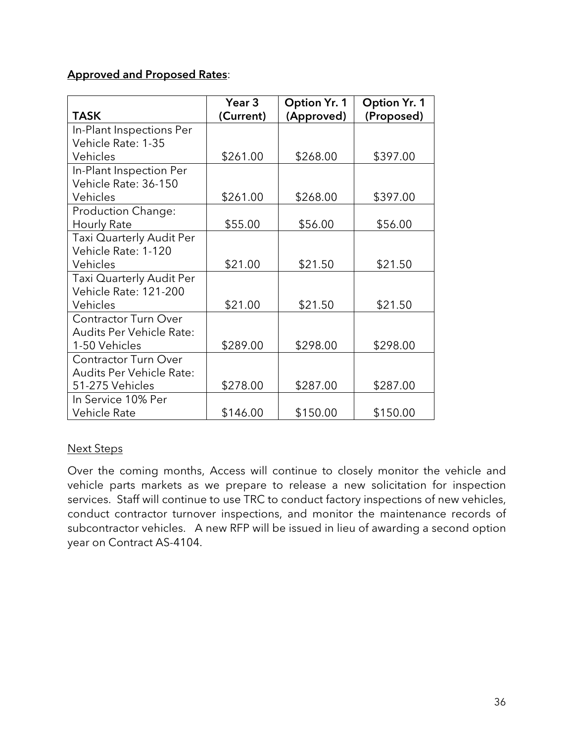#### Approved and Proposed Rates:

|                                 | Year <sub>3</sub> | <b>Option Yr. 1</b> | <b>Option Yr. 1</b> |
|---------------------------------|-------------------|---------------------|---------------------|
| <b>TASK</b>                     | (Current)         | (Approved)          | (Proposed)          |
| In-Plant Inspections Per        |                   |                     |                     |
| Vehicle Rate: 1-35              |                   |                     |                     |
| Vehicles                        | \$261.00          | \$268.00            | \$397.00            |
| In-Plant Inspection Per         |                   |                     |                     |
| Vehicle Rate: 36-150            |                   |                     |                     |
| Vehicles                        | \$261.00          | \$268.00            | \$397.00            |
| Production Change:              |                   |                     |                     |
| Hourly Rate                     | \$55.00           | \$56.00             | \$56.00             |
| Taxi Quarterly Audit Per        |                   |                     |                     |
| Vehicle Rate: 1-120             |                   |                     |                     |
| Vehicles                        | \$21.00           | \$21.50             | \$21.50             |
| Taxi Quarterly Audit Per        |                   |                     |                     |
| Vehicle Rate: 121-200           |                   |                     |                     |
| Vehicles                        | \$21.00           | \$21.50             | \$21.50             |
| <b>Contractor Turn Over</b>     |                   |                     |                     |
| <b>Audits Per Vehicle Rate:</b> |                   |                     |                     |
| 1-50 Vehicles                   | \$289.00          | \$298.00            | \$298.00            |
| <b>Contractor Turn Over</b>     |                   |                     |                     |
| Audits Per Vehicle Rate:        |                   |                     |                     |
| 51-275 Vehicles                 | \$278.00          | \$287.00            | \$287.00            |
| In Service 10% Per              |                   |                     |                     |
| Vehicle Rate                    | \$146.00          | \$150.00            | \$150.00            |

#### Next Steps

Over the coming months, Access will continue to closely monitor the vehicle and vehicle parts markets as we prepare to release a new solicitation for inspection services. Staff will continue to use TRC to conduct factory inspections of new vehicles, conduct contractor turnover inspections, and monitor the maintenance records of subcontractor vehicles. A new RFP will be issued in lieu of awarding a second option year on Contract AS-4104.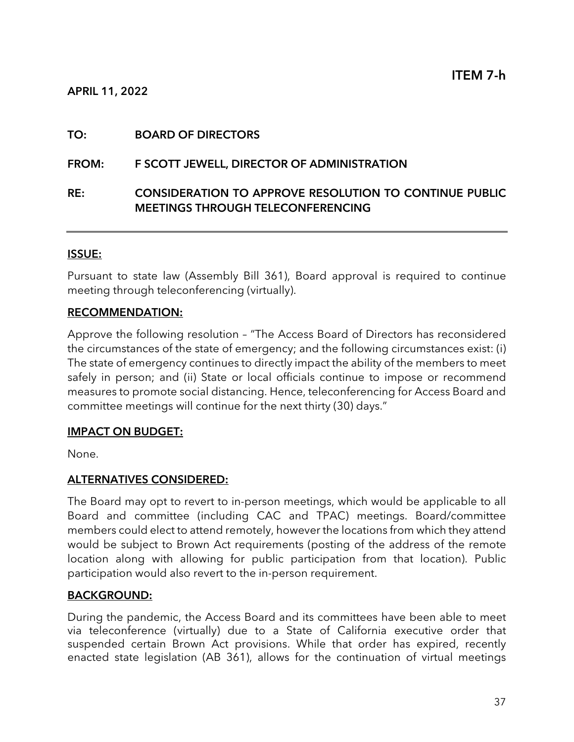#### TO: BOARD OF DIRECTORS

#### FROM: F SCOTT JEWELL, DIRECTOR OF ADMINISTRATION

#### RE: CONSIDERATION TO APPROVE RESOLUTION TO CONTINUE PUBLIC MEETINGS THROUGH TELECONFERENCING

#### ISSUE:

Pursuant to state law (Assembly Bill 361), Board approval is required to continue meeting through teleconferencing (virtually).

#### RECOMMENDATION:

Approve the following resolution – "The Access Board of Directors has reconsidered the circumstances of the state of emergency; and the following circumstances exist: (i) The state of emergency continues to directly impact the ability of the members to meet safely in person; and (ii) State or local officials continue to impose or recommend measures to promote social distancing. Hence, teleconferencing for Access Board and committee meetings will continue for the next thirty (30) days."

#### IMPACT ON BUDGET:

None.

#### ALTERNATIVES CONSIDERED:

The Board may opt to revert to in-person meetings, which would be applicable to all Board and committee (including CAC and TPAC) meetings. Board/committee members could elect to attend remotely, however the locations from which they attend would be subject to Brown Act requirements (posting of the address of the remote location along with allowing for public participation from that location). Public participation would also revert to the in-person requirement.

#### BACKGROUND:

During the pandemic, the Access Board and its committees have been able to meet via teleconference (virtually) due to a State of California executive order that suspended certain Brown Act provisions. While that order has expired, recently enacted state legislation (AB 361), allows for the continuation of virtual meetings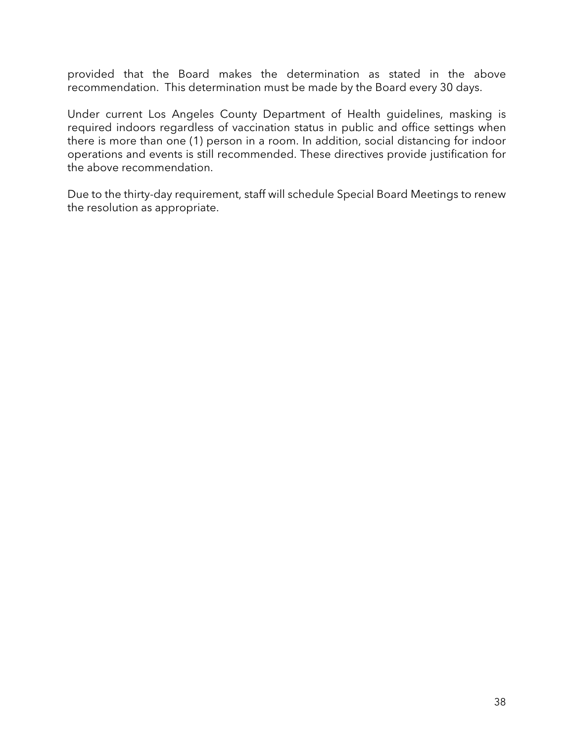provided that the Board makes the determination as stated in the above recommendation. This determination must be made by the Board every 30 days.

Under current Los Angeles County Department of Health guidelines, masking is required indoors regardless of vaccination status in public and office settings when there is more than one (1) person in a room. In addition, social distancing for indoor operations and events is still recommended. These directives provide justification for the above recommendation.

Due to the thirty-day requirement, staff will schedule Special Board Meetings to renew the resolution as appropriate.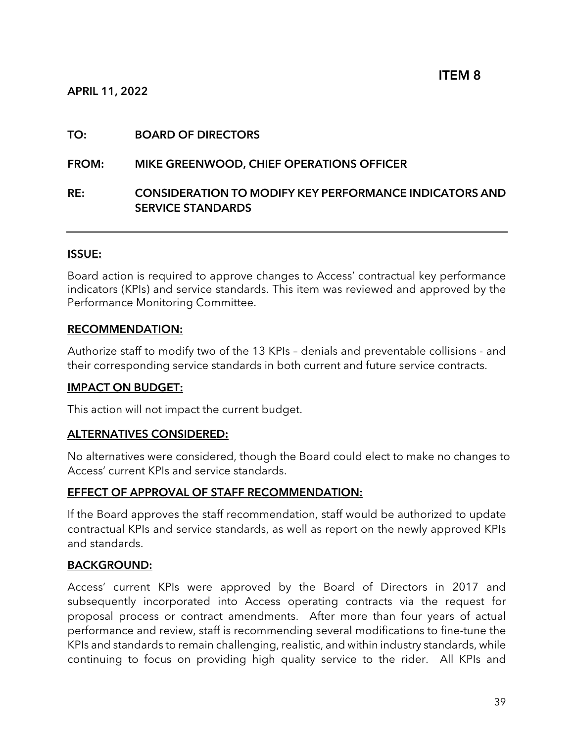#### TO: BOARD OF DIRECTORS

#### FROM: MIKE GREENWOOD, CHIEF OPERATIONS OFFICER

#### RE: CONSIDERATION TO MODIFY KEY PERFORMANCE INDICATORS AND SERVICE STANDARDS

#### ISSUE:

Board action is required to approve changes to Access' contractual key performance indicators (KPIs) and service standards. This item was reviewed and approved by the Performance Monitoring Committee.

#### RECOMMENDATION:

Authorize staff to modify two of the 13 KPIs – denials and preventable collisions - and their corresponding service standards in both current and future service contracts.

#### IMPACT ON BUDGET:

This action will not impact the current budget.

#### ALTERNATIVES CONSIDERED:

No alternatives were considered, though the Board could elect to make no changes to Access' current KPIs and service standards.

#### EFFECT OF APPROVAL OF STAFF RECOMMENDATION:

If the Board approves the staff recommendation, staff would be authorized to update contractual KPIs and service standards, as well as report on the newly approved KPIs and standards.

#### BACKGROUND:

Access' current KPIs were approved by the Board of Directors in 2017 and subsequently incorporated into Access operating contracts via the request for proposal process or contract amendments. After more than four years of actual performance and review, staff is recommending several modifications to fine-tune the KPIs and standards to remain challenging, realistic, and within industry standards, while continuing to focus on providing high quality service to the rider. All KPIs and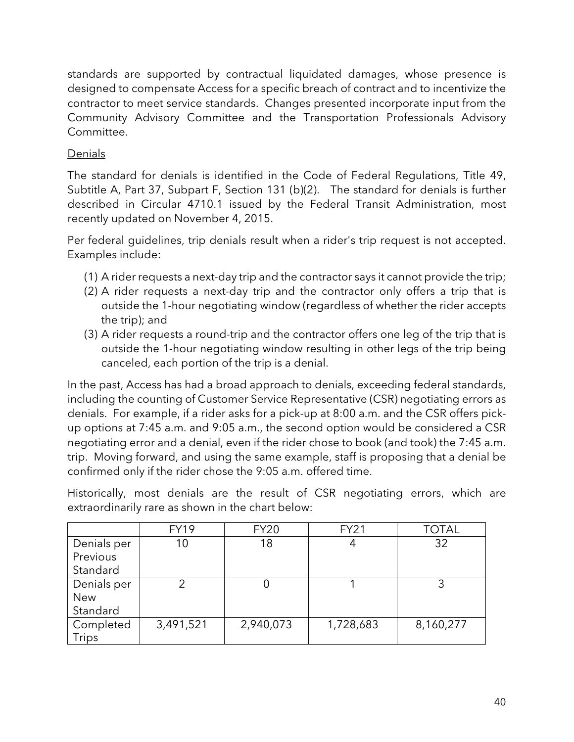standards are supported by contractual liquidated damages, whose presence is designed to compensate Access for a specific breach of contract and to incentivize the contractor to meet service standards. Changes presented incorporate input from the Community Advisory Committee and the Transportation Professionals Advisory Committee.

## Denials

The standard for denials is identified in the Code of Federal Regulations, Title 49, Subtitle A, Part 37, Subpart F, Section 131 (b)(2). The standard for denials is further described in Circular 4710.1 issued by the Federal Transit Administration, most recently updated on November 4, 2015.

Per federal guidelines, trip denials result when a rider's trip request is not accepted. Examples include:

- (1) A rider requests a next-day trip and the contractor says it cannot provide the trip;
- (2) A rider requests a next-day trip and the contractor only offers a trip that is outside the 1-hour negotiating window (regardless of whether the rider accepts the trip); and
- (3) A rider requests a round-trip and the contractor offers one leg of the trip that is outside the 1-hour negotiating window resulting in other legs of the trip being canceled, each portion of the trip is a denial.

In the past, Access has had a broad approach to denials, exceeding federal standards, including the counting of Customer Service Representative (CSR) negotiating errors as denials. For example, if a rider asks for a pick-up at 8:00 a.m. and the CSR offers pickup options at 7:45 a.m. and 9:05 a.m., the second option would be considered a CSR negotiating error and a denial, even if the rider chose to book (and took) the 7:45 a.m. trip. Moving forward, and using the same example, staff is proposing that a denial be confirmed only if the rider chose the 9:05 a.m. offered time.

Historically, most denials are the result of CSR negotiating errors, which are extraordinarily rare as shown in the chart below:

|             | <b>FY19</b> | <b>FY20</b> | <b>FY21</b> | <b>TOTAL</b> |
|-------------|-------------|-------------|-------------|--------------|
| Denials per | 10          | 18          | 4           | 32           |
| Previous    |             |             |             |              |
| Standard    |             |             |             |              |
| Denials per | ⌒           |             |             |              |
| <b>New</b>  |             |             |             |              |
| Standard    |             |             |             |              |
| Completed   | 3,491,521   | 2,940,073   | 1,728,683   | 8,160,277    |
| Trips       |             |             |             |              |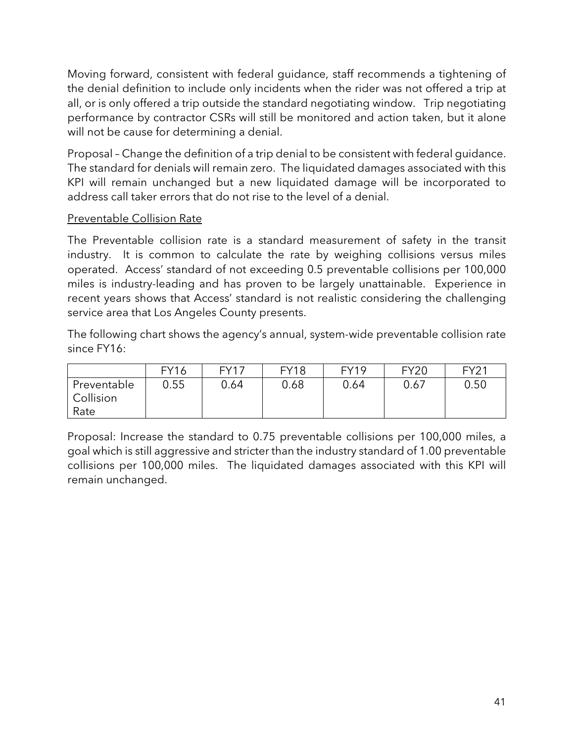Moving forward, consistent with federal guidance, staff recommends a tightening of the denial definition to include only incidents when the rider was not offered a trip at all, or is only offered a trip outside the standard negotiating window. Trip negotiating performance by contractor CSRs will still be monitored and action taken, but it alone will not be cause for determining a denial.

Proposal – Change the definition of a trip denial to be consistent with federal guidance. The standard for denials will remain zero. The liquidated damages associated with this KPI will remain unchanged but a new liquidated damage will be incorporated to address call taker errors that do not rise to the level of a denial.

#### Preventable Collision Rate

The Preventable collision rate is a standard measurement of safety in the transit industry. It is common to calculate the rate by weighing collisions versus miles operated. Access' standard of not exceeding 0.5 preventable collisions per 100,000 miles is industry-leading and has proven to be largely unattainable. Experience in recent years shows that Access' standard is not realistic considering the challenging service area that Los Angeles County presents.

The following chart shows the agency's annual, system-wide preventable collision rate since FY16:

|                                  | <b>FY16</b> | EVI7 | <b>FY18</b> | FY <sub>19</sub> | <b>FY20</b> | <b>FY21</b> |
|----------------------------------|-------------|------|-------------|------------------|-------------|-------------|
| Preventable<br>Collision<br>Rate | 0.55        | 0.64 | 0.68        | 0.64             | 0.67        | 0.50        |

Proposal: Increase the standard to 0.75 preventable collisions per 100,000 miles, a goal which is still aggressive and stricter than the industry standard of 1.00 preventable collisions per 100,000 miles. The liquidated damages associated with this KPI will remain unchanged.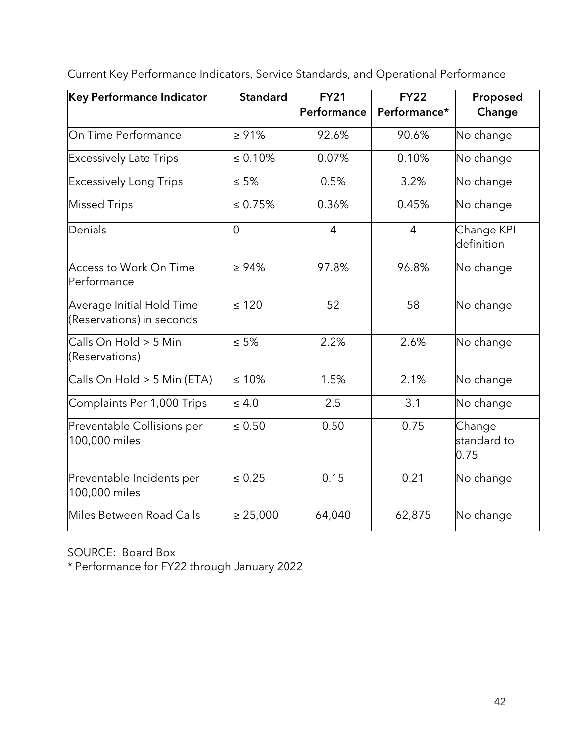| Key Performance Indicator                              | <b>Standard</b> | <b>FY21</b>    | <b>FY22</b>    | Proposed                      |
|--------------------------------------------------------|-----------------|----------------|----------------|-------------------------------|
|                                                        |                 | Performance    | Performance*   | Change                        |
| On Time Performance                                    | $\geq 91\%$     | 92.6%          | 90.6%          | No change                     |
| <b>Excessively Late Trips</b>                          | $\leq 0.10\%$   | 0.07%          | 0.10%          | No change                     |
| <b>Excessively Long Trips</b>                          | $\leq 5\%$      | 0.5%           | 3.2%           | No change                     |
| <b>Missed Trips</b>                                    | $\leq 0.75\%$   | 0.36%          | 0.45%          | No change                     |
| Denials                                                | 0               | $\overline{4}$ | $\overline{4}$ | Change KPI<br>definition      |
| Access to Work On Time<br>Performance                  | $\geq 94\%$     | 97.8%          | 96.8%          | No change                     |
| Average Initial Hold Time<br>(Reservations) in seconds | $\leq 120$      | 52             | 58             | No change                     |
| Calls On Hold > 5 Min<br>(Reservations)                | $\leq 5\%$      | 2.2%           | 2.6%           | No change                     |
| Calls On Hold > 5 Min (ETA)                            | $\leq 10\%$     | 1.5%           | 2.1%           | No change                     |
| Complaints Per 1,000 Trips                             | $\leq 4.0$      | 2.5            | 3.1            | No change                     |
| Preventable Collisions per<br>100,000 miles            | $\leq 0.50$     | 0.50           | 0.75           | Change<br>standard to<br>0.75 |
| Preventable Incidents per<br>100,000 miles             | $\leq 0.25$     | 0.15           | 0.21           | No change                     |
| Miles Between Road Calls                               | $\geq 25,000$   | 64,040         | 62,875         | No change                     |

Current Key Performance Indicators, Service Standards, and Operational Performance

SOURCE: Board Box

\* Performance for FY22 through January 2022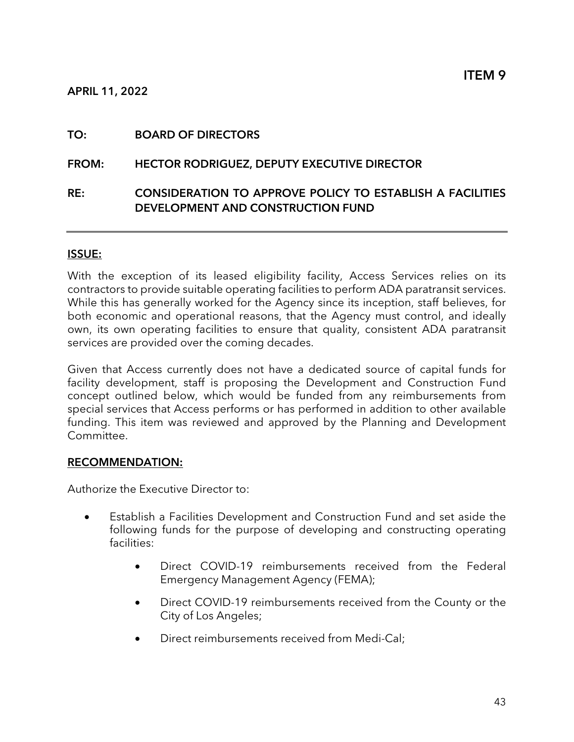#### TO: BOARD OF DIRECTORS

#### FROM: HECTOR RODRIGUEZ, DEPUTY EXECUTIVE DIRECTOR

#### RE: CONSIDERATION TO APPROVE POLICY TO ESTABLISH A FACILITIES DEVELOPMENT AND CONSTRUCTION FUND

#### ISSUE:

With the exception of its leased eligibility facility, Access Services relies on its contractors to provide suitable operating facilities to perform ADA paratransit services. While this has generally worked for the Agency since its inception, staff believes, for both economic and operational reasons, that the Agency must control, and ideally own, its own operating facilities to ensure that quality, consistent ADA paratransit services are provided over the coming decades.

Given that Access currently does not have a dedicated source of capital funds for facility development, staff is proposing the Development and Construction Fund concept outlined below, which would be funded from any reimbursements from special services that Access performs or has performed in addition to other available funding. This item was reviewed and approved by the Planning and Development Committee.

#### RECOMMENDATION:

Authorize the Executive Director to:

- Establish a Facilities Development and Construction Fund and set aside the following funds for the purpose of developing and constructing operating facilities:
	- Direct COVID-19 reimbursements received from the Federal Emergency Management Agency (FEMA);
	- Direct COVID-19 reimbursements received from the County or the City of Los Angeles;
	- Direct reimbursements received from Medi-Cal;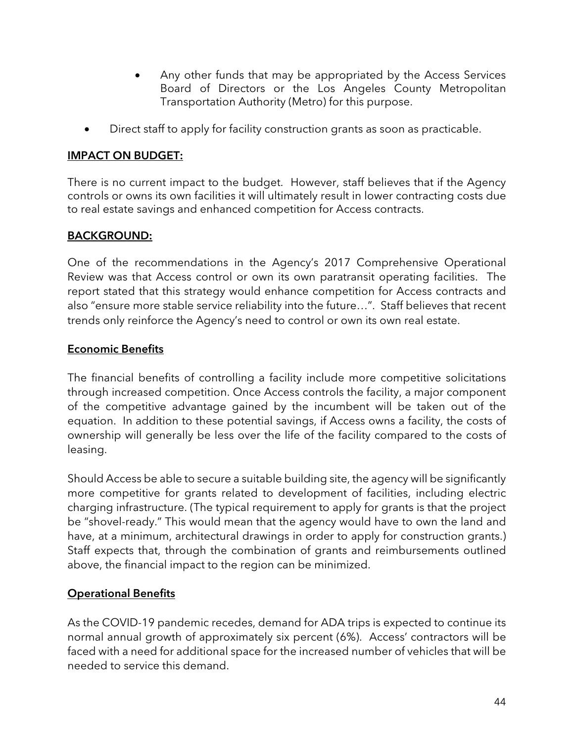- Any other funds that may be appropriated by the Access Services Board of Directors or the Los Angeles County Metropolitan Transportation Authority (Metro) for this purpose.
- Direct staff to apply for facility construction grants as soon as practicable.

#### IMPACT ON BUDGET:

There is no current impact to the budget. However, staff believes that if the Agency controls or owns its own facilities it will ultimately result in lower contracting costs due to real estate savings and enhanced competition for Access contracts.

#### BACKGROUND:

One of the recommendations in the Agency's 2017 Comprehensive Operational Review was that Access control or own its own paratransit operating facilities. The report stated that this strategy would enhance competition for Access contracts and also "ensure more stable service reliability into the future…". Staff believes that recent trends only reinforce the Agency's need to control or own its own real estate.

#### Economic Benefits

The financial benefits of controlling a facility include more competitive solicitations through increased competition. Once Access controls the facility, a major component of the competitive advantage gained by the incumbent will be taken out of the equation. In addition to these potential savings, if Access owns a facility, the costs of ownership will generally be less over the life of the facility compared to the costs of leasing.

Should Access be able to secure a suitable building site, the agency will be significantly more competitive for grants related to development of facilities, including electric charging infrastructure. (The typical requirement to apply for grants is that the project be "shovel-ready." This would mean that the agency would have to own the land and have, at a minimum, architectural drawings in order to apply for construction grants.) Staff expects that, through the combination of grants and reimbursements outlined above, the financial impact to the region can be minimized.

#### Operational Benefits

As the COVID-19 pandemic recedes, demand for ADA trips is expected to continue its normal annual growth of approximately six percent (6%). Access' contractors will be faced with a need for additional space for the increased number of vehicles that will be needed to service this demand.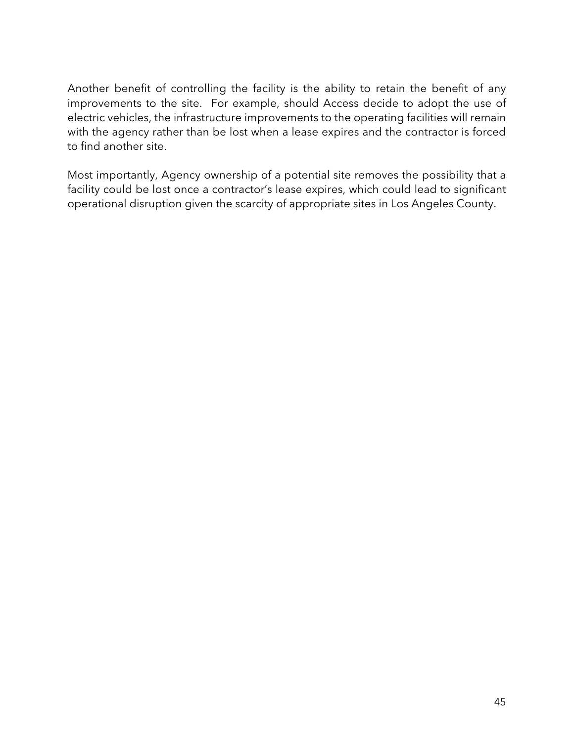Another benefit of controlling the facility is the ability to retain the benefit of any improvements to the site. For example, should Access decide to adopt the use of electric vehicles, the infrastructure improvements to the operating facilities will remain with the agency rather than be lost when a lease expires and the contractor is forced to find another site.

Most importantly, Agency ownership of a potential site removes the possibility that a facility could be lost once a contractor's lease expires, which could lead to significant operational disruption given the scarcity of appropriate sites in Los Angeles County.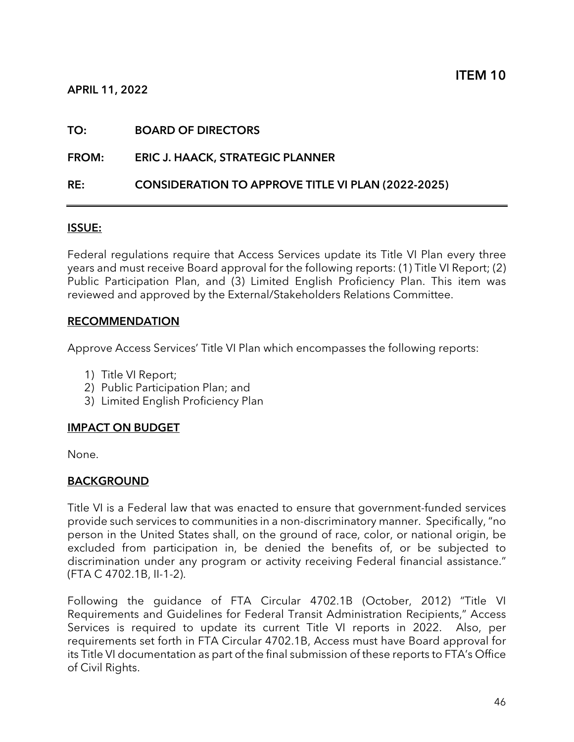| TO:          | <b>BOARD OF DIRECTORS</b>                                 |
|--------------|-----------------------------------------------------------|
| <b>FROM:</b> | <b>ERIC J. HAACK, STRATEGIC PLANNER</b>                   |
| RE:          | <b>CONSIDERATION TO APPROVE TITLE VI PLAN (2022-2025)</b> |

#### ISSUE:

Federal regulations require that Access Services update its Title VI Plan every three years and must receive Board approval for the following reports: (1) Title VI Report; (2) Public Participation Plan, and (3) Limited English Proficiency Plan. This item was reviewed and approved by the External/Stakeholders Relations Committee.

#### **RECOMMENDATION**

Approve Access Services' Title VI Plan which encompasses the following reports:

- 1) Title VI Report;
- 2) Public Participation Plan; and
- 3) Limited English Proficiency Plan

#### IMPACT ON BUDGET

None.

#### BACKGROUND

Title VI is a Federal law that was enacted to ensure that government-funded services provide such services to communities in a non-discriminatory manner. Specifically, "no person in the United States shall, on the ground of race, color, or national origin, be excluded from participation in, be denied the benefits of, or be subjected to discrimination under any program or activity receiving Federal financial assistance." (FTA C 4702.1B, II-1-2).

Following the guidance of FTA Circular 4702.1B (October, 2012) "Title VI Requirements and Guidelines for Federal Transit Administration Recipients," Access Services is required to update its current Title VI reports in 2022. Also, per requirements set forth in FTA Circular 4702.1B, Access must have Board approval for its Title VI documentation as part of the final submission of these reports to FTA's Office of Civil Rights.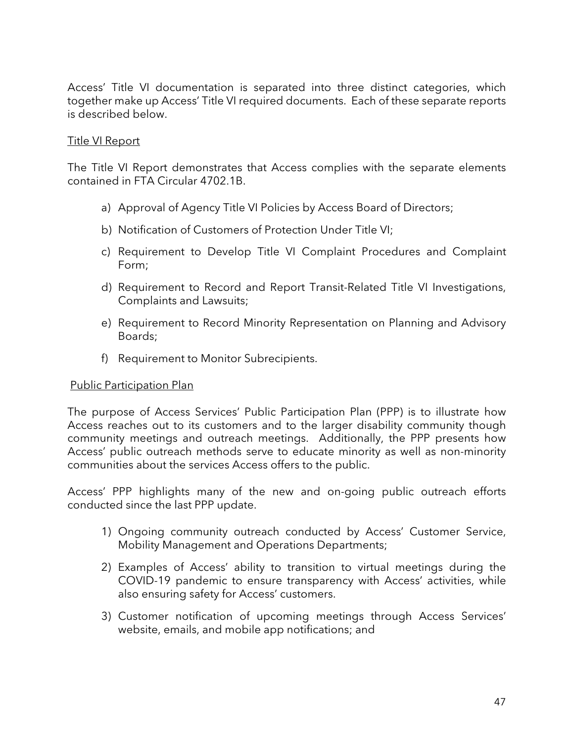Access' Title VI documentation is separated into three distinct categories, which together make up Access' Title VI required documents. Each of these separate reports is described below.

#### Title VI Report

The Title VI Report demonstrates that Access complies with the separate elements contained in FTA Circular 4702.1B.

- a) Approval of Agency Title VI Policies by Access Board of Directors;
- b) Notification of Customers of Protection Under Title VI;
- c) Requirement to Develop Title VI Complaint Procedures and Complaint Form;
- d) Requirement to Record and Report Transit-Related Title VI Investigations, Complaints and Lawsuits;
- e) Requirement to Record Minority Representation on Planning and Advisory Boards;
- f) Requirement to Monitor Subrecipients.

#### Public Participation Plan

The purpose of Access Services' Public Participation Plan (PPP) is to illustrate how Access reaches out to its customers and to the larger disability community though community meetings and outreach meetings. Additionally, the PPP presents how Access' public outreach methods serve to educate minority as well as non-minority communities about the services Access offers to the public.

Access' PPP highlights many of the new and on-going public outreach efforts conducted since the last PPP update.

- 1) Ongoing community outreach conducted by Access' Customer Service, Mobility Management and Operations Departments;
- 2) Examples of Access' ability to transition to virtual meetings during the COVID-19 pandemic to ensure transparency with Access' activities, while also ensuring safety for Access' customers.
- 3) Customer notification of upcoming meetings through Access Services' website, emails, and mobile app notifications; and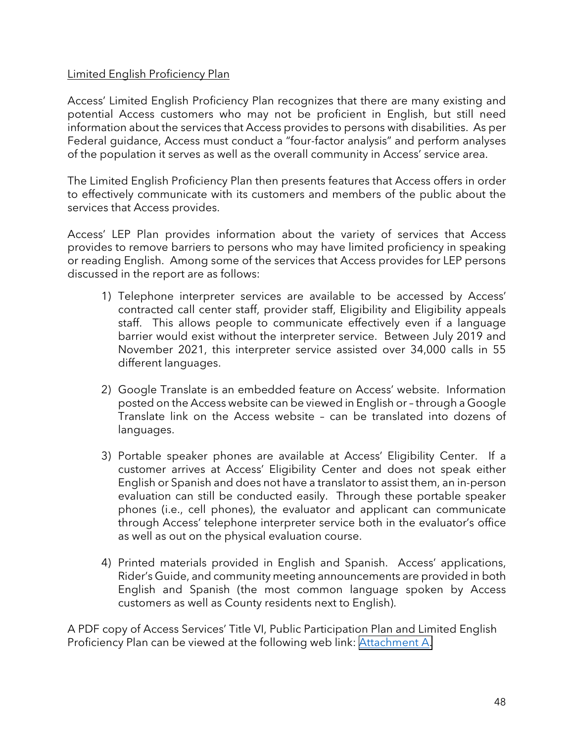#### Limited English Proficiency Plan

Access' Limited English Proficiency Plan recognizes that there are many existing and potential Access customers who may not be proficient in English, but still need information about the services that Access provides to persons with disabilities. As per Federal guidance, Access must conduct a "four-factor analysis" and perform analyses of the population it serves as well as the overall community in Access' service area.

The Limited English Proficiency Plan then presents features that Access offers in order to effectively communicate with its customers and members of the public about the services that Access provides.

Access' LEP Plan provides information about the variety of services that Access provides to remove barriers to persons who may have limited proficiency in speaking or reading English. Among some of the services that Access provides for LEP persons discussed in the report are as follows:

- 1) Telephone interpreter services are available to be accessed by Access' contracted call center staff, provider staff, Eligibility and Eligibility appeals staff. This allows people to communicate effectively even if a language barrier would exist without the interpreter service. Between July 2019 and November 2021, this interpreter service assisted over 34,000 calls in 55 different languages.
- 2) Google Translate is an embedded feature on Access' website. Information posted on the Access website can be viewed in English or – through a Google Translate link on the Access website – can be translated into dozens of languages.
- 3) Portable speaker phones are available at Access' Eligibility Center. If a customer arrives at Access' Eligibility Center and does not speak either English or Spanish and does not have a translator to assist them, an in-person evaluation can still be conducted easily. Through these portable speaker phones (i.e., cell phones), the evaluator and applicant can communicate through Access' telephone interpreter service both in the evaluator's office as well as out on the physical evaluation course.
- 4) Printed materials provided in English and Spanish. Access' applications, Rider's Guide, and community meeting announcements are provided in both English and Spanish (the most common language spoken by Access customers as well as County residents next to English).

A PDF copy of Access Services' Title VI, Public Participation Plan and Limited English Proficiency Plan can be viewed at the following web link: [Attachment A.](https://www.dropbox.com/s/24ncbfi8lfl0axd/Attachment%20A%20-%20Access%20Services%E2%80%99%20Title%20VI%2C%20Public%20Participation%20Plan%20and%20Limited%20English%20Proficiency%20Plan.pdf?dl=0)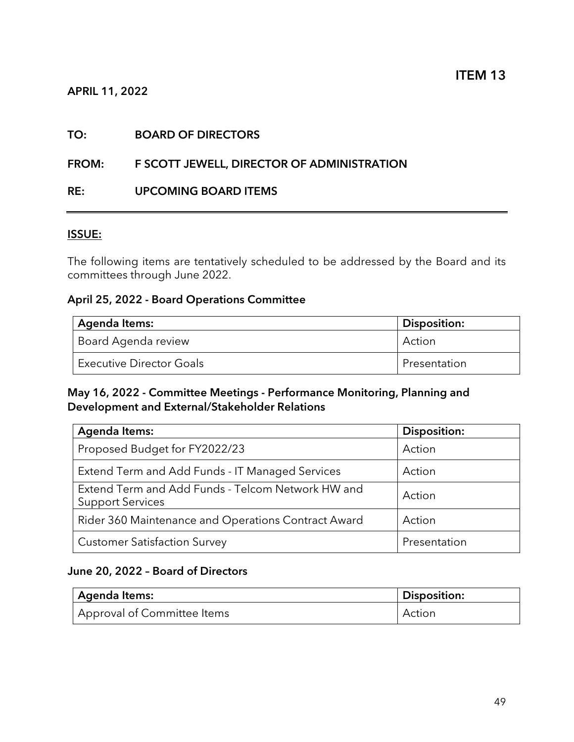#### TO: BOARD OF DIRECTORS

#### FROM: F SCOTT JEWELL, DIRECTOR OF ADMINISTRATION

#### RE: UPCOMING BOARD ITEMS

#### ISSUE:

The following items are tentatively scheduled to be addressed by the Board and its committees through June 2022.

#### April 25, 2022 - Board Operations Committee

| Agenda Items:                   | <b>Disposition:</b> |
|---------------------------------|---------------------|
| ' Board Agenda review           | Action              |
| <b>Executive Director Goals</b> | Presentation        |

#### May 16, 2022 - Committee Meetings - Performance Monitoring, Planning and Development and External/Stakeholder Relations

| <b>Agenda Items:</b>                                                         | <b>Disposition:</b> |
|------------------------------------------------------------------------------|---------------------|
| Proposed Budget for FY2022/23                                                | Action              |
| Extend Term and Add Funds - IT Managed Services                              | Action              |
| Extend Term and Add Funds - Telcom Network HW and<br><b>Support Services</b> | Action              |
| Rider 360 Maintenance and Operations Contract Award                          | Action              |
| <b>Customer Satisfaction Survey</b>                                          | Presentation        |

#### June 20, 2022 – Board of Directors

| <sup> </sup> Agenda Items:  | <b>Disposition:</b> |
|-----------------------------|---------------------|
| Approval of Committee Items | Action              |